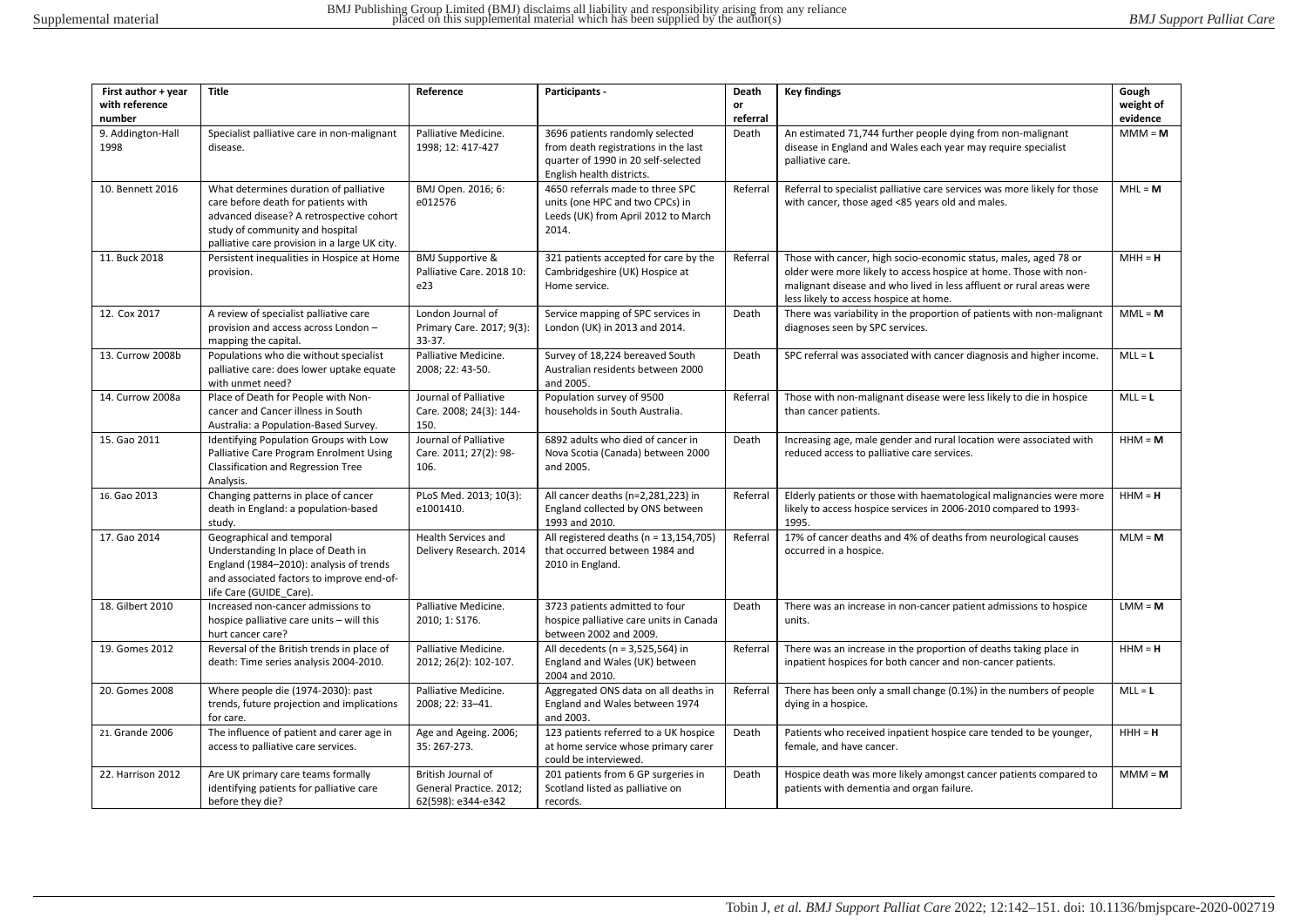| First author + year       | <b>Title</b>                                                                                                                                                                                                  | Reference                                                           | Participants -                                                                                                                              | Death    | <b>Key findings</b>                                                                                                                                                                                                                                     | Gough     |
|---------------------------|---------------------------------------------------------------------------------------------------------------------------------------------------------------------------------------------------------------|---------------------------------------------------------------------|---------------------------------------------------------------------------------------------------------------------------------------------|----------|---------------------------------------------------------------------------------------------------------------------------------------------------------------------------------------------------------------------------------------------------------|-----------|
| with reference            |                                                                                                                                                                                                               |                                                                     |                                                                                                                                             | or       |                                                                                                                                                                                                                                                         | weight of |
| number                    |                                                                                                                                                                                                               |                                                                     |                                                                                                                                             | referral |                                                                                                                                                                                                                                                         | evidence  |
| 9. Addington-Hall<br>1998 | Specialist palliative care in non-malignant<br>disease.                                                                                                                                                       | Palliative Medicine.<br>1998; 12: 417-427                           | 3696 patients randomly selected<br>from death registrations in the last<br>quarter of 1990 in 20 self-selected<br>English health districts. | Death    | An estimated 71,744 further people dying from non-malignant<br>disease in England and Wales each year may require specialist<br>palliative care.                                                                                                        | $MM = M$  |
| 10. Bennett 2016          | What determines duration of palliative<br>care before death for patients with<br>advanced disease? A retrospective cohort<br>study of community and hospital<br>palliative care provision in a large UK city. | BMJ Open. 2016; 6:<br>e012576                                       | 4650 referrals made to three SPC<br>units (one HPC and two CPCs) in<br>Leeds (UK) from April 2012 to March<br>2014.                         | Referral | Referral to specialist palliative care services was more likely for those<br>with cancer, those aged <85 years old and males.                                                                                                                           | $MHL = M$ |
| 11. Buck 2018             | Persistent inequalities in Hospice at Home<br>provision.                                                                                                                                                      | <b>BMJ Supportive &amp;</b><br>Palliative Care. 2018 10:<br>e23     | 321 patients accepted for care by the<br>Cambridgeshire (UK) Hospice at<br>Home service.                                                    | Referral | Those with cancer, high socio-economic status, males, aged 78 or<br>older were more likely to access hospice at home. Those with non-<br>malignant disease and who lived in less affluent or rural areas were<br>less likely to access hospice at home. | $MH = H$  |
| 12. Cox 2017              | A review of specialist palliative care<br>provision and access across London -<br>mapping the capital.                                                                                                        | London Journal of<br>Primary Care. 2017; 9(3):<br>33-37.            | Service mapping of SPC services in<br>London (UK) in 2013 and 2014.                                                                         | Death    | There was variability in the proportion of patients with non-malignant<br>diagnoses seen by SPC services.                                                                                                                                               | $MML = M$ |
| 13. Currow 2008b          | Populations who die without specialist<br>palliative care: does lower uptake equate<br>with unmet need?                                                                                                       | Palliative Medicine.<br>2008; 22: 43-50.                            | Survey of 18,224 bereaved South<br>Australian residents between 2000<br>and 2005.                                                           | Death    | SPC referral was associated with cancer diagnosis and higher income.                                                                                                                                                                                    | $MLL = L$ |
| 14. Currow 2008a          | Place of Death for People with Non-<br>cancer and Cancer illness in South<br>Australia: a Population-Based Survey.                                                                                            | Journal of Palliative<br>Care. 2008; 24(3): 144-<br>150.            | Population survey of 9500<br>households in South Australia.                                                                                 | Referra  | Those with non-malignant disease were less likely to die in hospice<br>than cancer patients.                                                                                                                                                            | $MLL = L$ |
| 15. Gao 2011              | Identifying Population Groups with Low<br>Palliative Care Program Enrolment Using<br>Classification and Regression Tree<br>Analysis.                                                                          | Journal of Palliative<br>Care. 2011; 27(2): 98-<br>106.             | 6892 adults who died of cancer in<br>Nova Scotia (Canada) between 2000<br>and 2005.                                                         | Death    | Increasing age, male gender and rural location were associated with<br>reduced access to palliative care services.                                                                                                                                      | $HHM = M$ |
| 16. Gao 2013              | Changing patterns in place of cancer<br>death in England: a population-based<br>study.                                                                                                                        | PLoS Med. 2013; 10(3):<br>e1001410.                                 | All cancer deaths (n=2,281,223) in<br>England collected by ONS between<br>1993 and 2010.                                                    | Referral | Elderly patients or those with haematological malignancies were more<br>likely to access hospice services in 2006-2010 compared to 1993-<br>1995.                                                                                                       | $HHM = H$ |
| 17. Gao 2014              | Geographical and temporal<br>Understanding In place of Death in<br>England (1984-2010): analysis of trends<br>and associated factors to improve end-of-<br>life Care (GUIDE Care).                            | <b>Health Services and</b><br>Delivery Research. 2014               | All registered deaths (n = 13,154,705)<br>that occurred between 1984 and<br>2010 in England.                                                | Referral | 17% of cancer deaths and 4% of deaths from neurological causes<br>occurred in a hospice.                                                                                                                                                                | $MLM = M$ |
| 18. Gilbert 2010          | Increased non-cancer admissions to<br>hospice palliative care units - will this<br>hurt cancer care?                                                                                                          | Palliative Medicine.<br>2010; 1: S176.                              | 3723 patients admitted to four<br>hospice palliative care units in Canada<br>between 2002 and 2009.                                         | Death    | There was an increase in non-cancer patient admissions to hospice<br>units.                                                                                                                                                                             | $LMM = M$ |
| 19. Gomes 2012            | Reversal of the British trends in place of<br>death: Time series analysis 2004-2010.                                                                                                                          | Palliative Medicine.<br>2012; 26(2): 102-107.                       | All decedents (n = 3,525,564) in<br>England and Wales (UK) between<br>2004 and 2010.                                                        | Referral | There was an increase in the proportion of deaths taking place in<br>inpatient hospices for both cancer and non-cancer patients.                                                                                                                        | $HHM = H$ |
| 20. Gomes 2008            | Where people die (1974-2030): past<br>trends, future projection and implications<br>for care.                                                                                                                 | Palliative Medicine.<br>2008; 22: 33-41.                            | Aggregated ONS data on all deaths in<br>England and Wales between 1974<br>and 2003.                                                         | Referral | There has been only a small change (0.1%) in the numbers of people<br>dying in a hospice.                                                                                                                                                               | $MLL = L$ |
| 21. Grande 2006           | The influence of patient and carer age in<br>access to palliative care services.                                                                                                                              | Age and Ageing. 2006;<br>35: 267-273.                               | 123 patients referred to a UK hospice<br>at home service whose primary carer<br>could be interviewed.                                       | Death    | Patients who received inpatient hospice care tended to be younger,<br>female, and have cancer.                                                                                                                                                          | $HHH = H$ |
| 22. Harrison 2012         | Are UK primary care teams formally<br>identifying patients for palliative care<br>before they die?                                                                                                            | British Journal of<br>General Practice. 2012;<br>62(598): e344-e342 | 201 patients from 6 GP surgeries in<br>Scotland listed as palliative on<br>records.                                                         | Death    | Hospice death was more likely amongst cancer patients compared to<br>patients with dementia and organ failure.                                                                                                                                          | $MM = M$  |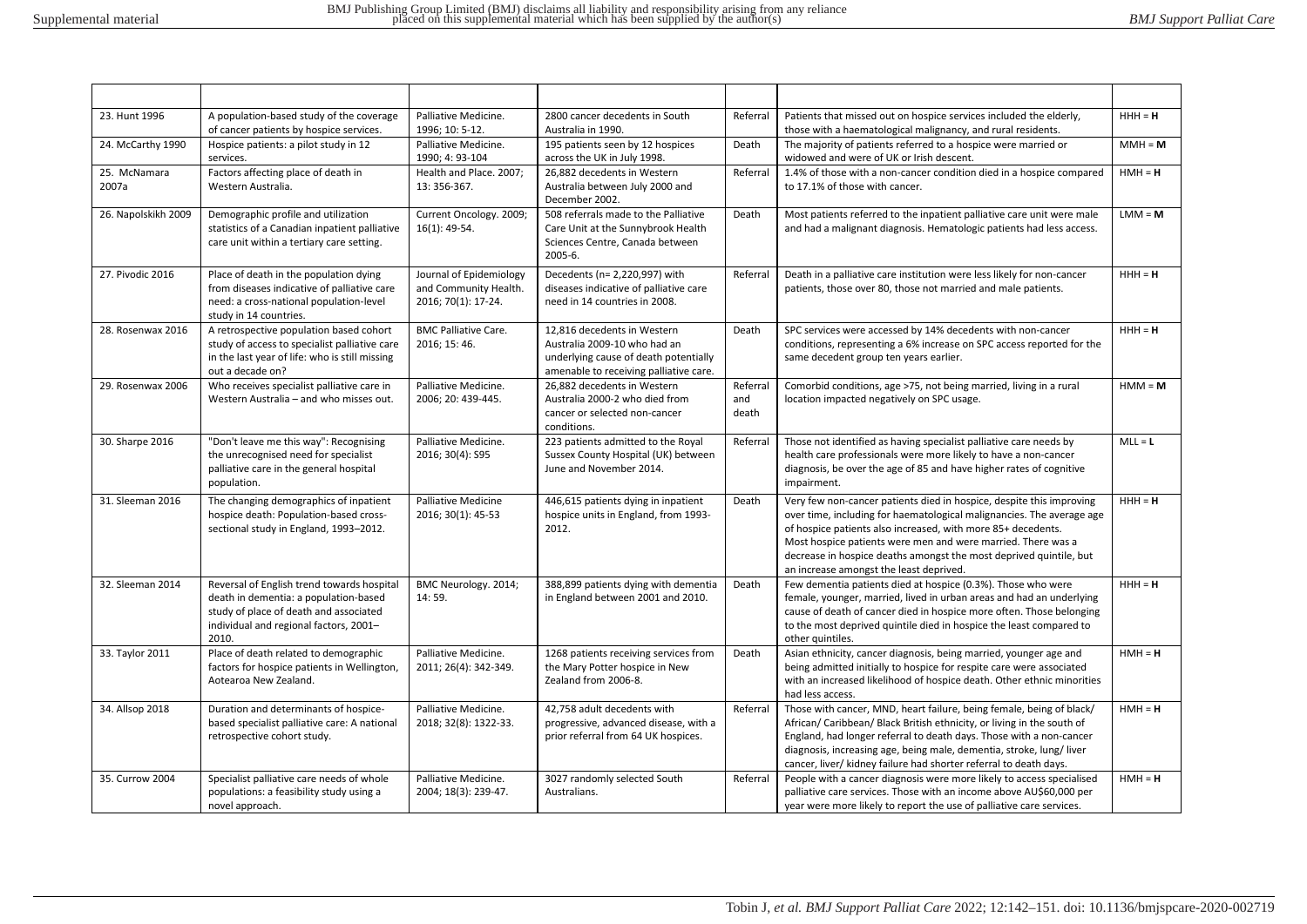| 23. Hunt 1996         | A population-based study of the coverage<br>of cancer patients by hospice services.                                                                                              | Palliative Medicine.<br>1996; 10: 5-12.                                 | 2800 cancer decedents in South<br>Australia in 1990.                                                                                           | Referral                 | Patients that missed out on hospice services included the elderly,<br>those with a haematological malignancy, and rural residents.                                                                                                                                                                                                                                                             | $HHH = H$ |
|-----------------------|----------------------------------------------------------------------------------------------------------------------------------------------------------------------------------|-------------------------------------------------------------------------|------------------------------------------------------------------------------------------------------------------------------------------------|--------------------------|------------------------------------------------------------------------------------------------------------------------------------------------------------------------------------------------------------------------------------------------------------------------------------------------------------------------------------------------------------------------------------------------|-----------|
| 24. McCarthy 1990     | Hospice patients: a pilot study in 12<br>services.                                                                                                                               | Palliative Medicine.<br>1990; 4: 93-104                                 | 195 patients seen by 12 hospices<br>across the UK in July 1998.                                                                                | Death                    | The majority of patients referred to a hospice were married or<br>widowed and were of UK or Irish descent.                                                                                                                                                                                                                                                                                     | $MM = M$  |
| 25. McNamara<br>2007a | Factors affecting place of death in<br>Western Australia.                                                                                                                        | Health and Place. 2007;<br>13: 356-367.                                 | 26,882 decedents in Western<br>Australia between July 2000 and<br>December 2002.                                                               | Referral                 | 1.4% of those with a non-cancer condition died in a hospice compared<br>to 17.1% of those with cancer.                                                                                                                                                                                                                                                                                         | $HMH = H$ |
| 26. Napolskikh 2009   | Demographic profile and utilization<br>statistics of a Canadian inpatient palliative<br>care unit within a tertiary care setting.                                                | Current Oncology. 2009;<br>$16(1): 49-54.$                              | 508 referrals made to the Palliative<br>Care Unit at the Sunnybrook Health<br>Sciences Centre, Canada between<br>2005-6.                       | Death                    | Most patients referred to the inpatient palliative care unit were male<br>and had a malignant diagnosis. Hematologic patients had less access.                                                                                                                                                                                                                                                 | $LMM = M$ |
| 27. Pivodic 2016      | Place of death in the population dying<br>from diseases indicative of palliative care<br>need: a cross-national population-level<br>study in 14 countries.                       | Journal of Epidemiology<br>and Community Health.<br>2016; 70(1): 17-24. | Decedents (n= 2,220,997) with<br>diseases indicative of palliative care<br>need in 14 countries in 2008.                                       | Referral                 | Death in a palliative care institution were less likely for non-cancer<br>patients, those over 80, those not married and male patients.                                                                                                                                                                                                                                                        | $HHH = H$ |
| 28. Rosenwax 2016     | A retrospective population based cohort<br>study of access to specialist palliative care<br>in the last year of life: who is still missing<br>out a decade on?                   | <b>BMC Palliative Care.</b><br>2016; 15: 46.                            | 12,816 decedents in Western<br>Australia 2009-10 who had an<br>underlying cause of death potentially<br>amenable to receiving palliative care. | Death                    | SPC services were accessed by 14% decedents with non-cancer<br>conditions, representing a 6% increase on SPC access reported for the<br>same decedent group ten years earlier.                                                                                                                                                                                                                 | $HHH = H$ |
| 29. Rosenwax 2006     | Who receives specialist palliative care in<br>Western Australia - and who misses out.                                                                                            | Palliative Medicine.<br>2006; 20: 439-445.                              | 26,882 decedents in Western<br>Australia 2000-2 who died from<br>cancer or selected non-cancer<br>conditions.                                  | Referral<br>and<br>death | Comorbid conditions, age >75, not being married, living in a rural<br>location impacted negatively on SPC usage.                                                                                                                                                                                                                                                                               | $HMM = M$ |
| 30. Sharpe 2016       | "Don't leave me this way": Recognising<br>the unrecognised need for specialist<br>palliative care in the general hospital<br>population.                                         | Palliative Medicine.<br>2016; 30(4): S95                                | 223 patients admitted to the Royal<br>Sussex County Hospital (UK) between<br>June and November 2014.                                           | Referral                 | Those not identified as having specialist palliative care needs by<br>health care professionals were more likely to have a non-cancer<br>diagnosis, be over the age of 85 and have higher rates of cognitive<br>impairment.                                                                                                                                                                    | $MLL = L$ |
| 31. Sleeman 2016      | The changing demographics of inpatient<br>hospice death: Population-based cross-<br>sectional study in England, 1993-2012.                                                       | <b>Palliative Medicine</b><br>2016; 30(1): 45-53                        | 446,615 patients dying in inpatient<br>hospice units in England, from 1993-<br>2012.                                                           | Death                    | Very few non-cancer patients died in hospice, despite this improving<br>over time, including for haematological malignancies. The average age<br>of hospice patients also increased, with more 85+ decedents.<br>Most hospice patients were men and were married. There was a<br>decrease in hospice deaths amongst the most deprived quintile, but<br>an increase amongst the least deprived. | $HHH = H$ |
| 32. Sleeman 2014      | Reversal of English trend towards hospital<br>death in dementia: a population-based<br>study of place of death and associated<br>individual and regional factors, 2001-<br>2010. | BMC Neurology. 2014;<br>14:59.                                          | 388,899 patients dying with dementia<br>in England between 2001 and 2010.                                                                      | Death                    | Few dementia patients died at hospice (0.3%). Those who were<br>female, younger, married, lived in urban areas and had an underlying<br>cause of death of cancer died in hospice more often. Those belonging<br>to the most deprived quintile died in hospice the least compared to<br>other quintiles.                                                                                        | $HHH = H$ |
| 33. Taylor 2011       | Place of death related to demographic<br>factors for hospice patients in Wellington,<br>Aotearoa New Zealand.                                                                    | Palliative Medicine.<br>2011; 26(4): 342-349.                           | 1268 patients receiving services from<br>the Mary Potter hospice in New<br>Zealand from 2006-8.                                                | Death                    | Asian ethnicity, cancer diagnosis, being married, younger age and<br>being admitted initially to hospice for respite care were associated<br>with an increased likelihood of hospice death. Other ethnic minorities<br>had less access.                                                                                                                                                        | $HMH = H$ |
| 34. Allsop 2018       | Duration and determinants of hospice-<br>based specialist palliative care: A national<br>retrospective cohort study.                                                             | Palliative Medicine.<br>2018; 32(8): 1322-33.                           | 42,758 adult decedents with<br>progressive, advanced disease, with a<br>prior referral from 64 UK hospices.                                    | Referral                 | Those with cancer, MND, heart failure, being female, being of black/<br>African/ Caribbean/ Black British ethnicity, or living in the south of<br>England, had longer referral to death days. Those with a non-cancer<br>diagnosis, increasing age, being male, dementia, stroke, lung/liver<br>cancer, liver/ kidney failure had shorter referral to death days.                              | $HMH = H$ |
| 35. Currow 2004       | Specialist palliative care needs of whole<br>populations: a feasibility study using a<br>novel approach.                                                                         | Palliative Medicine.<br>2004; 18(3): 239-47.                            | 3027 randomly selected South<br>Australians.                                                                                                   | Referral                 | People with a cancer diagnosis were more likely to access specialised<br>palliative care services. Those with an income above AU\$60,000 per<br>year were more likely to report the use of palliative care services.                                                                                                                                                                           | $HMH = H$ |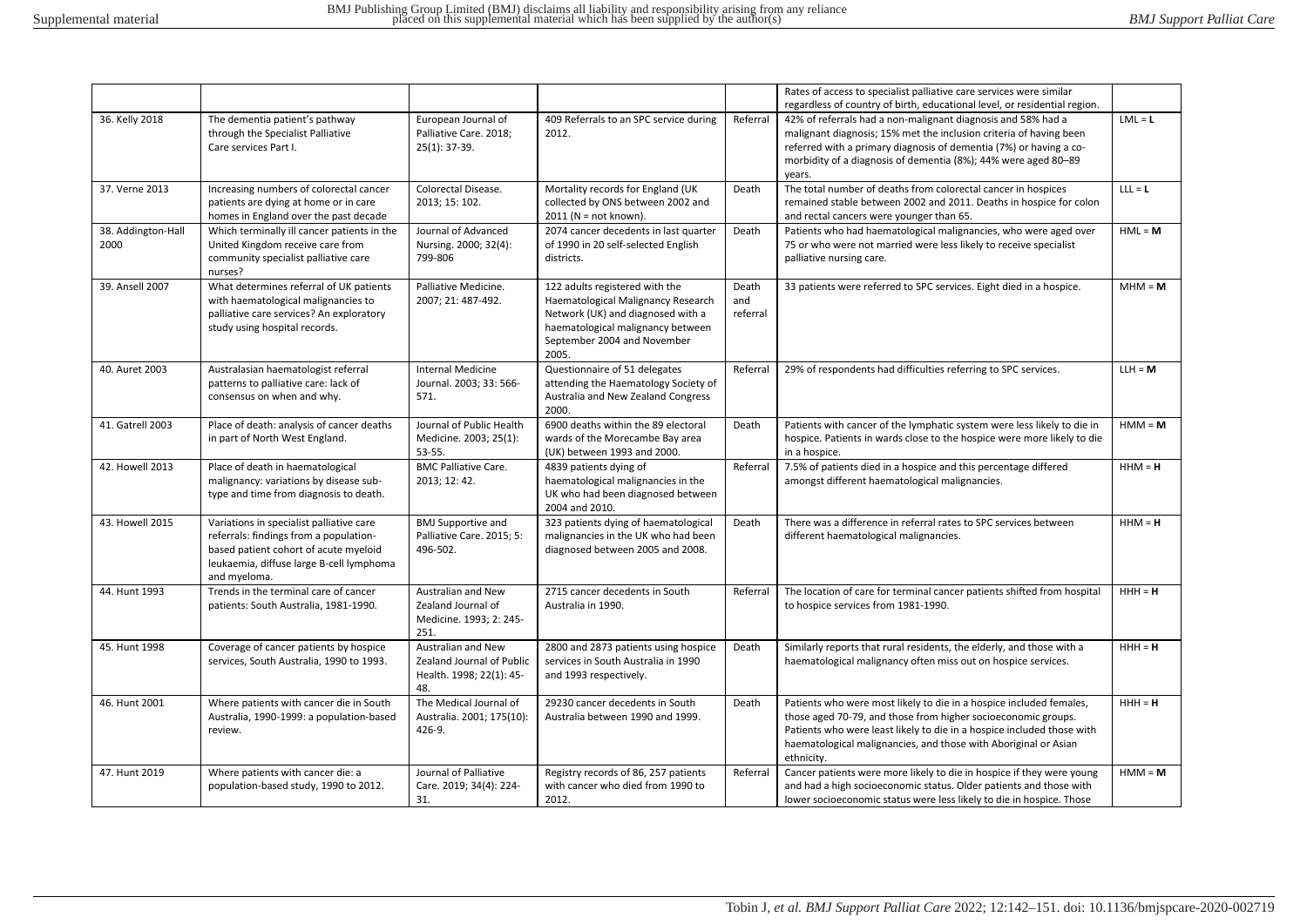|                            |                                                                                                                                                                                         |                                                                                    |                                                                                                                                                                                        |                          | Rates of access to specialist palliative care services were similar                                                                                                                                                                                                                                                                                               |           |
|----------------------------|-----------------------------------------------------------------------------------------------------------------------------------------------------------------------------------------|------------------------------------------------------------------------------------|----------------------------------------------------------------------------------------------------------------------------------------------------------------------------------------|--------------------------|-------------------------------------------------------------------------------------------------------------------------------------------------------------------------------------------------------------------------------------------------------------------------------------------------------------------------------------------------------------------|-----------|
| 36. Kelly 2018             | The dementia patient's pathway<br>through the Specialist Palliative<br>Care services Part I.                                                                                            | European Journal of<br>Palliative Care. 2018;<br>$25(1): 37-39.$                   | 409 Referrals to an SPC service during<br>2012.                                                                                                                                        | Referral                 | regardless of country of birth, educational level, or residential region.<br>42% of referrals had a non-malignant diagnosis and 58% had a<br>malignant diagnosis; 15% met the inclusion criteria of having been<br>referred with a primary diagnosis of dementia (7%) or having a co-<br>morbidity of a diagnosis of dementia (8%); 44% were aged 80-89<br>years. | $LML = L$ |
| 37. Verne 2013             | Increasing numbers of colorectal cancer<br>patients are dying at home or in care<br>homes in England over the past decade                                                               | Colorectal Disease.<br>2013; 15: 102.                                              | Mortality records for England (UK<br>collected by ONS between 2002 and<br>$2011$ (N = not known).                                                                                      | Death                    | The total number of deaths from colorectal cancer in hospices<br>remained stable between 2002 and 2011. Deaths in hospice for colon<br>and rectal cancers were younger than 65.                                                                                                                                                                                   | $LLL = L$ |
| 38. Addington-Hall<br>2000 | Which terminally ill cancer patients in the<br>United Kingdom receive care from<br>community specialist palliative care<br>nurses?                                                      | Journal of Advanced<br>Nursing. 2000; 32(4):<br>799-806                            | 2074 cancer decedents in last quarter<br>of 1990 in 20 self-selected English<br>districts.                                                                                             | Death                    | Patients who had haematological malignancies, who were aged over<br>75 or who were not married were less likely to receive specialist<br>palliative nursing care.                                                                                                                                                                                                 | $HML = M$ |
| 39. Ansell 2007            | What determines referral of UK patients<br>with haematological malignancies to<br>palliative care services? An exploratory<br>study using hospital records.                             | Palliative Medicine.<br>2007; 21: 487-492.                                         | 122 adults registered with the<br>Haematological Malignancy Research<br>Network (UK) and diagnosed with a<br>haematological malignancy between<br>September 2004 and November<br>2005. | Death<br>and<br>referral | 33 patients were referred to SPC services. Eight died in a hospice.                                                                                                                                                                                                                                                                                               | $MHM = M$ |
| 40. Auret 2003             | Australasian haematologist referral<br>patterns to palliative care: lack of<br>consensus on when and why.                                                                               | <b>Internal Medicine</b><br>Journal. 2003; 33: 566-<br>571.                        | Questionnaire of 51 delegates<br>attending the Haematology Society of<br>Australia and New Zealand Congress<br>2000.                                                                   | Referral                 | 29% of respondents had difficulties referring to SPC services.                                                                                                                                                                                                                                                                                                    | $LLH = M$ |
| 41. Gatrell 2003           | Place of death: analysis of cancer deaths<br>in part of North West England.                                                                                                             | Journal of Public Health<br>Medicine. 2003; 25(1):<br>53-55.                       | 6900 deaths within the 89 electoral<br>wards of the Morecambe Bay area<br>(UK) between 1993 and 2000.                                                                                  | Death                    | Patients with cancer of the lymphatic system were less likely to die in<br>hospice. Patients in wards close to the hospice were more likely to die<br>in a hospice.                                                                                                                                                                                               | $HMM = M$ |
| 42. Howell 2013            | Place of death in haematological<br>malignancy: variations by disease sub-<br>type and time from diagnosis to death.                                                                    | <b>BMC Palliative Care.</b><br>2013; 12: 42.                                       | 4839 patients dying of<br>haematological malignancies in the<br>UK who had been diagnosed between<br>2004 and 2010.                                                                    | Referral                 | 7.5% of patients died in a hospice and this percentage differed<br>amongst different haematological malignancies.                                                                                                                                                                                                                                                 | $HHM = H$ |
| 43. Howell 2015            | Variations in specialist palliative care<br>referrals: findings from a population-<br>based patient cohort of acute myeloid<br>leukaemia, diffuse large B-cell lymphoma<br>and myeloma. | <b>BMJ Supportive and</b><br>Palliative Care. 2015; 5:<br>496-502.                 | 323 patients dying of haematological<br>malignancies in the UK who had been<br>diagnosed between 2005 and 2008.                                                                        | Death                    | There was a difference in referral rates to SPC services between<br>different haematological malignancies.                                                                                                                                                                                                                                                        | $HHM = H$ |
| 44. Hunt 1993              | Trends in the terminal care of cancer<br>patients: South Australia, 1981-1990.                                                                                                          | <b>Australian and New</b><br>Zealand Journal of<br>Medicine. 1993; 2: 245-<br>251. | 2715 cancer decedents in South<br>Australia in 1990.                                                                                                                                   | Referral                 | The location of care for terminal cancer patients shifted from hospital<br>to hospice services from 1981-1990.                                                                                                                                                                                                                                                    | $HHH = H$ |
| 45. Hunt 1998              | Coverage of cancer patients by hospice<br>services, South Australia, 1990 to 1993.                                                                                                      | Australian and New<br>Zealand Journal of Public<br>Health. 1998; 22(1): 45-<br>48. | 2800 and 2873 patients using hospice<br>services in South Australia in 1990<br>and 1993 respectively.                                                                                  | Death                    | Similarly reports that rural residents, the elderly, and those with a<br>haematological malignancy often miss out on hospice services.                                                                                                                                                                                                                            | $HHH = H$ |
| 46. Hunt 2001              | Where patients with cancer die in South<br>Australia, 1990-1999: a population-based<br>review.                                                                                          | The Medical Journal of<br>Australia. 2001; 175(10):<br>426-9.                      | 29230 cancer decedents in South<br>Australia between 1990 and 1999.                                                                                                                    | Death                    | Patients who were most likely to die in a hospice included females,<br>those aged 70-79, and those from higher socioeconomic groups.<br>Patients who were least likely to die in a hospice included those with<br>haematological malignancies, and those with Aboriginal or Asian<br>ethnicity.                                                                   | $HHH = H$ |
| 47. Hunt 2019              | Where patients with cancer die: a<br>population-based study, 1990 to 2012.                                                                                                              | Journal of Palliative<br>Care. 2019; 34(4): 224-<br>31.                            | Registry records of 86, 257 patients<br>with cancer who died from 1990 to<br>2012.                                                                                                     | Referral                 | Cancer patients were more likely to die in hospice if they were young<br>and had a high socioeconomic status. Older patients and those with<br>lower socioeconomic status were less likely to die in hospice. Those                                                                                                                                               | $HMM = M$ |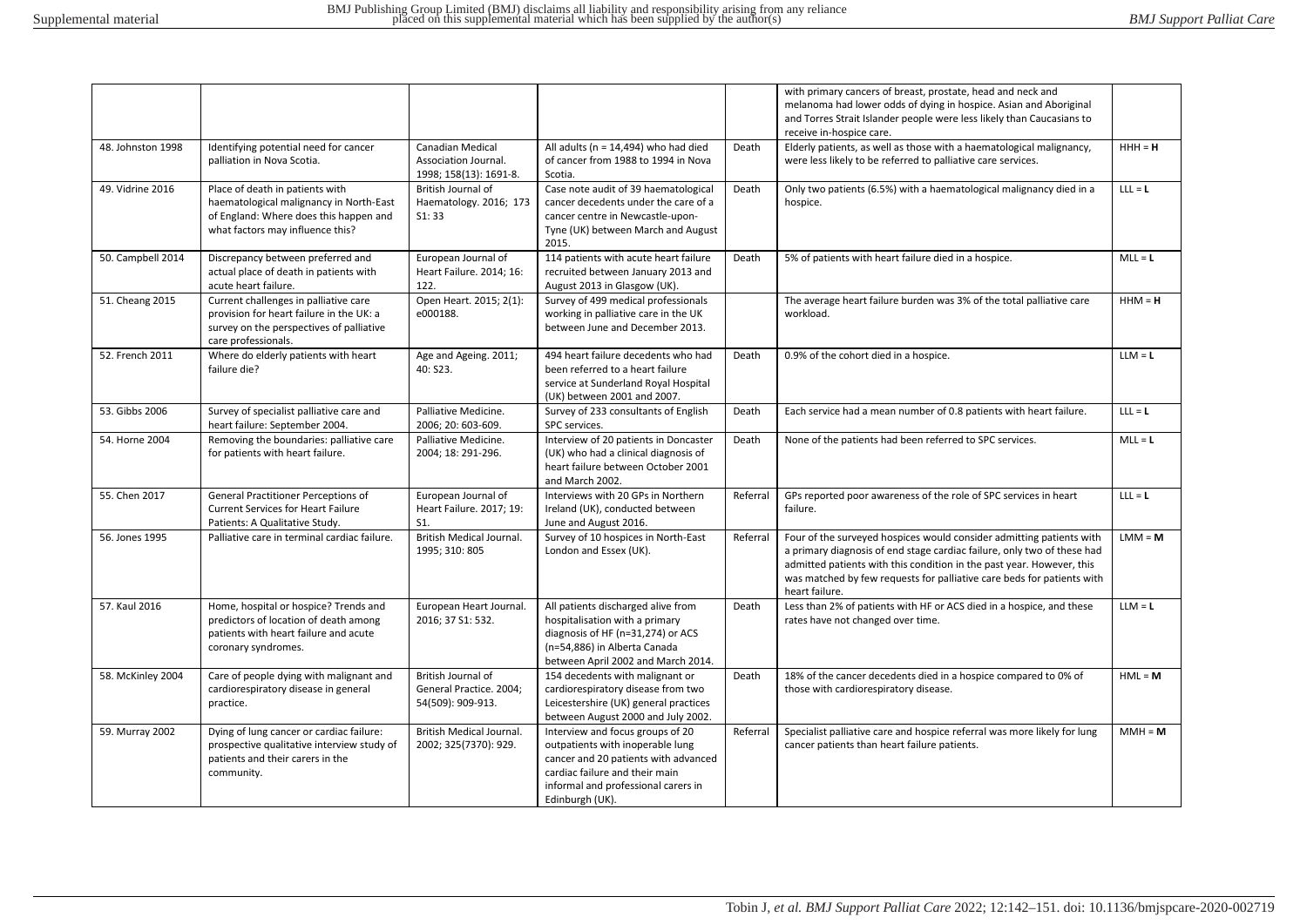|                   |                                                                                                                                                          |                                                                           |                                                                                                                                                                                                          |          | with primary cancers of breast, prostate, head and neck and<br>melanoma had lower odds of dying in hospice. Asian and Aboriginal<br>and Torres Strait Islander people were less likely than Caucasians to<br>receive in-hospice care.                                                                                |           |
|-------------------|----------------------------------------------------------------------------------------------------------------------------------------------------------|---------------------------------------------------------------------------|----------------------------------------------------------------------------------------------------------------------------------------------------------------------------------------------------------|----------|----------------------------------------------------------------------------------------------------------------------------------------------------------------------------------------------------------------------------------------------------------------------------------------------------------------------|-----------|
| 48. Johnston 1998 | Identifying potential need for cancer<br>palliation in Nova Scotia.                                                                                      | <b>Canadian Medical</b><br>Association Journal.<br>1998; 158(13): 1691-8. | All adults ( $n = 14,494$ ) who had died<br>of cancer from 1988 to 1994 in Nova<br>Scotia.                                                                                                               | Death    | Elderly patients, as well as those with a haematological malignancy,<br>were less likely to be referred to palliative care services.                                                                                                                                                                                 | $HHH = H$ |
| 49. Vidrine 2016  | Place of death in patients with<br>haematological malignancy in North-East<br>of England: Where does this happen and<br>what factors may influence this? | British Journal of<br>Haematology. 2016; 173<br>S1:33                     | Case note audit of 39 haematological<br>cancer decedents under the care of a<br>cancer centre in Newcastle-upon-<br>Tyne (UK) between March and August<br>2015.                                          | Death    | Only two patients (6.5%) with a haematological malignancy died in a<br>hospice.                                                                                                                                                                                                                                      | $LLL = L$ |
| 50. Campbell 2014 | Discrepancy between preferred and<br>actual place of death in patients with<br>acute heart failure.                                                      | European Journal of<br>Heart Failure. 2014; 16:<br>122.                   | 114 patients with acute heart failure<br>recruited between January 2013 and<br>August 2013 in Glasgow (UK).                                                                                              | Death    | 5% of patients with heart failure died in a hospice.                                                                                                                                                                                                                                                                 | $MLL = L$ |
| 51. Cheang 2015   | Current challenges in palliative care<br>provision for heart failure in the UK: a<br>survey on the perspectives of palliative<br>care professionals.     | Open Heart. 2015; 2(1):<br>e000188.                                       | Survey of 499 medical professionals<br>working in palliative care in the UK<br>between June and December 2013.                                                                                           |          | The average heart failure burden was 3% of the total palliative care<br>workload.                                                                                                                                                                                                                                    | $HHM = H$ |
| 52. French 2011   | Where do elderly patients with heart<br>failure die?                                                                                                     | Age and Ageing. 2011;<br>40: S23.                                         | 494 heart failure decedents who had<br>been referred to a heart failure<br>service at Sunderland Royal Hospital<br>(UK) between 2001 and 2007.                                                           | Death    | 0.9% of the cohort died in a hospice.                                                                                                                                                                                                                                                                                | $LLM = L$ |
| 53. Gibbs 2006    | Survey of specialist palliative care and<br>heart failure: September 2004.                                                                               | Palliative Medicine.<br>2006; 20: 603-609.                                | Survey of 233 consultants of English<br>SPC services.                                                                                                                                                    | Death    | Each service had a mean number of 0.8 patients with heart failure.                                                                                                                                                                                                                                                   | $LLL = L$ |
| 54. Horne 2004    | Removing the boundaries: palliative care<br>for patients with heart failure.                                                                             | Palliative Medicine.<br>2004; 18: 291-296.                                | Interview of 20 patients in Doncaster<br>(UK) who had a clinical diagnosis of<br>heart failure between October 2001<br>and March 2002.                                                                   | Death    | None of the patients had been referred to SPC services.                                                                                                                                                                                                                                                              | $MLL = L$ |
| 55. Chen 2017     | General Practitioner Perceptions of<br><b>Current Services for Heart Failure</b><br>Patients: A Qualitative Study.                                       | European Journal of<br>Heart Failure. 2017; 19:<br>S1.                    | Interviews with 20 GPs in Northern<br>Ireland (UK), conducted between<br>June and August 2016.                                                                                                           | Referral | GPs reported poor awareness of the role of SPC services in heart<br>failure.                                                                                                                                                                                                                                         | $LLL = L$ |
| 56. Jones 1995    | Palliative care in terminal cardiac failure.                                                                                                             | British Medical Journal.<br>1995; 310: 805                                | Survey of 10 hospices in North-East<br>London and Essex (UK).                                                                                                                                            | Referral | Four of the surveyed hospices would consider admitting patients with<br>a primary diagnosis of end stage cardiac failure, only two of these had<br>admitted patients with this condition in the past year. However, this<br>was matched by few requests for palliative care beds for patients with<br>heart failure. | $LMM = M$ |
| 57. Kaul 2016     | Home, hospital or hospice? Trends and<br>predictors of location of death among<br>patients with heart failure and acute<br>coronary syndromes.           | European Heart Journal.<br>2016; 37 S1: 532.                              | All patients discharged alive from<br>hospitalisation with a primary<br>diagnosis of HF (n=31,274) or ACS<br>(n=54,886) in Alberta Canada<br>between April 2002 and March 2014.                          | Death    | Less than 2% of patients with HF or ACS died in a hospice, and these<br>rates have not changed over time.                                                                                                                                                                                                            | $LLM = L$ |
| 58. McKinley 2004 | Care of people dying with malignant and<br>cardiorespiratory disease in general<br>practice.                                                             | British Journal of<br>General Practice. 2004;<br>54(509): 909-913.        | 154 decedents with malignant or<br>cardiorespiratory disease from two<br>Leicestershire (UK) general practices<br>between August 2000 and July 2002.                                                     | Death    | 18% of the cancer decedents died in a hospice compared to 0% of<br>those with cardiorespiratory disease.                                                                                                                                                                                                             | $HML = M$ |
| 59. Murray 2002   | Dying of lung cancer or cardiac failure:<br>prospective qualitative interview study of<br>patients and their carers in the<br>community.                 | British Medical Journal.<br>2002; 325(7370): 929.                         | Interview and focus groups of 20<br>outpatients with inoperable lung<br>cancer and 20 patients with advanced<br>cardiac failure and their main<br>informal and professional carers in<br>Edinburgh (UK). | Referral | Specialist palliative care and hospice referral was more likely for lung<br>cancer patients than heart failure patients.                                                                                                                                                                                             | $MMH = M$ |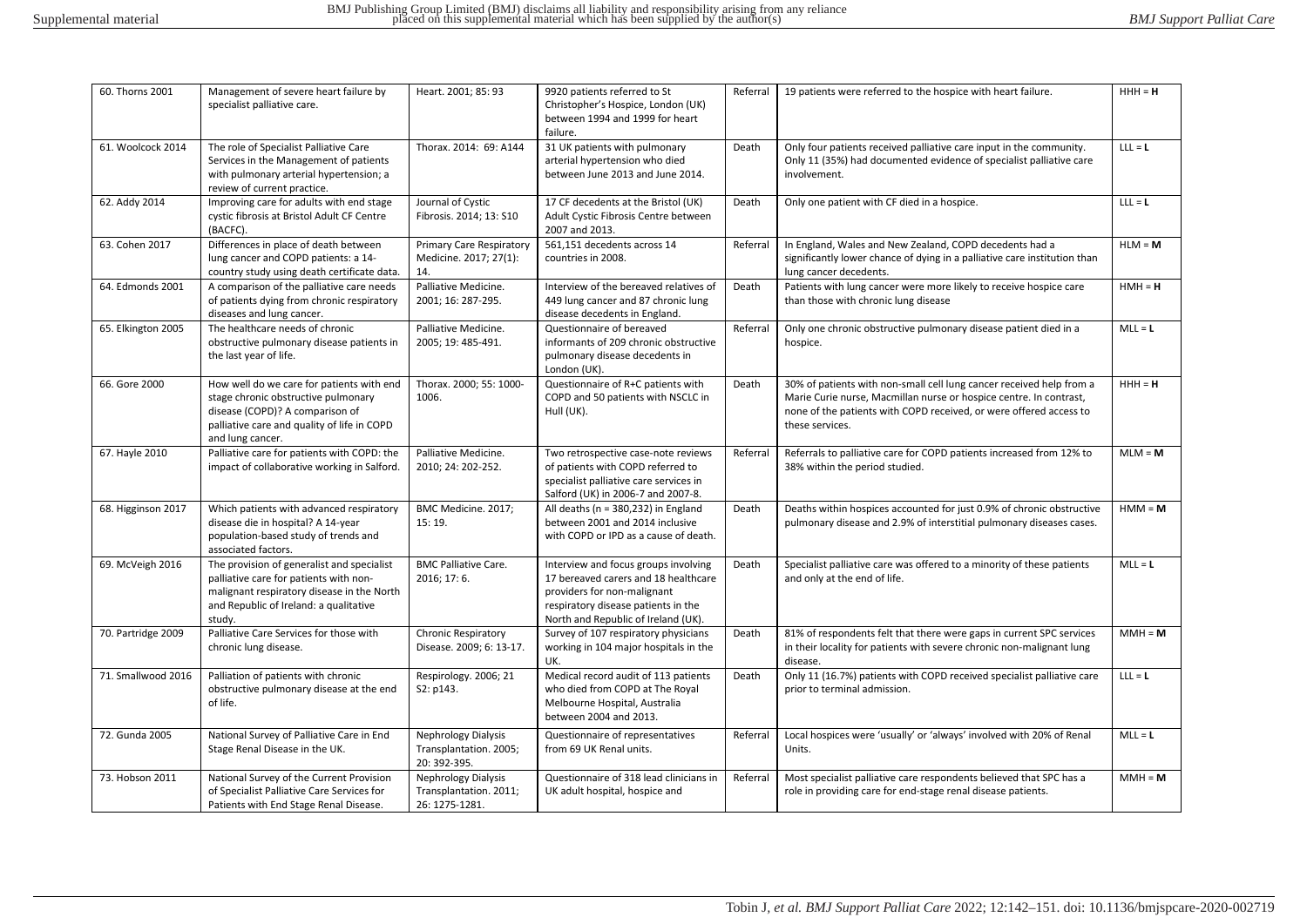| 60. Thorns 2001    | Management of severe heart failure by<br>specialist palliative care.                                                                                                                   | Heart. 2001; 85: 93                                                  | 9920 patients referred to St<br>Christopher's Hospice, London (UK)<br>between 1994 and 1999 for heart<br>failure.                                                                         | Referral | 19 patients were referred to the hospice with heart failure.                                                                                                                                                                        | $HHH = H$ |
|--------------------|----------------------------------------------------------------------------------------------------------------------------------------------------------------------------------------|----------------------------------------------------------------------|-------------------------------------------------------------------------------------------------------------------------------------------------------------------------------------------|----------|-------------------------------------------------------------------------------------------------------------------------------------------------------------------------------------------------------------------------------------|-----------|
| 61. Woolcock 2014  | The role of Specialist Palliative Care<br>Services in the Management of patients<br>with pulmonary arterial hypertension; a<br>review of current practice.                             | Thorax. 2014: 69: A144                                               | 31 UK patients with pulmonary<br>arterial hypertension who died<br>between June 2013 and June 2014.                                                                                       | Death    | Only four patients received palliative care input in the community.<br>Only 11 (35%) had documented evidence of specialist palliative care<br>involvement.                                                                          | $LLL = L$ |
| 62. Addy 2014      | Improving care for adults with end stage<br>cystic fibrosis at Bristol Adult CF Centre<br>(BACFC).                                                                                     | Journal of Cystic<br>Fibrosis. 2014; 13: S10                         | 17 CF decedents at the Bristol (UK)<br>Adult Cystic Fibrosis Centre between<br>2007 and 2013.                                                                                             | Death    | Only one patient with CF died in a hospice.                                                                                                                                                                                         | $LLL = L$ |
| 63. Cohen 2017     | Differences in place of death between<br>lung cancer and COPD patients: a 14-<br>country study using death certificate data.                                                           | <b>Primary Care Respiratory</b><br>Medicine. 2017; 27(1):<br>14.     | 561,151 decedents across 14<br>countries in 2008.                                                                                                                                         | Referral | In England, Wales and New Zealand, COPD decedents had a<br>significantly lower chance of dying in a palliative care institution than<br>lung cancer decedents.                                                                      | $HLM = M$ |
| 64. Edmonds 2001   | A comparison of the palliative care needs<br>of patients dying from chronic respiratory<br>diseases and lung cancer.                                                                   | Palliative Medicine.<br>2001; 16: 287-295.                           | Interview of the bereaved relatives of<br>449 lung cancer and 87 chronic lung<br>disease decedents in England.                                                                            | Death    | Patients with lung cancer were more likely to receive hospice care<br>than those with chronic lung disease                                                                                                                          | $HMH = H$ |
| 65. Elkington 2005 | The healthcare needs of chronic<br>obstructive pulmonary disease patients in<br>the last year of life.                                                                                 | Palliative Medicine.<br>2005; 19: 485-491.                           | Questionnaire of bereaved<br>informants of 209 chronic obstructive<br>pulmonary disease decedents in<br>London (UK).                                                                      | Referral | Only one chronic obstructive pulmonary disease patient died in a<br>hospice.                                                                                                                                                        | $MLL = L$ |
| 66. Gore 2000      | How well do we care for patients with end<br>stage chronic obstructive pulmonary<br>disease (COPD)? A comparison of<br>palliative care and quality of life in COPD<br>and lung cancer. | Thorax. 2000; 55: 1000-<br>1006.                                     | Questionnaire of R+C patients with<br>COPD and 50 patients with NSCLC in<br>Hull (UK).                                                                                                    | Death    | 30% of patients with non-small cell lung cancer received help from a<br>Marie Curie nurse, Macmillan nurse or hospice centre. In contrast,<br>none of the patients with COPD received, or were offered access to<br>these services. | $HHH = H$ |
| 67. Hayle 2010     | Palliative care for patients with COPD: the<br>impact of collaborative working in Salford.                                                                                             | Palliative Medicine.<br>2010; 24: 202-252.                           | Two retrospective case-note reviews<br>of patients with COPD referred to<br>specialist palliative care services in<br>Salford (UK) in 2006-7 and 2007-8.                                  | Referral | Referrals to palliative care for COPD patients increased from 12% to<br>38% within the period studied.                                                                                                                              | $MLM = M$ |
| 68. Higginson 2017 | Which patients with advanced respiratory<br>disease die in hospital? A 14-year<br>population-based study of trends and<br>associated factors.                                          | BMC Medicine. 2017;<br>15:19.                                        | All deaths ( $n = 380,232$ ) in England<br>between 2001 and 2014 inclusive<br>with COPD or IPD as a cause of death.                                                                       | Death    | Deaths within hospices accounted for just 0.9% of chronic obstructive<br>pulmonary disease and 2.9% of interstitial pulmonary diseases cases.                                                                                       | $HMM = M$ |
| 69. McVeigh 2016   | The provision of generalist and specialist<br>palliative care for patients with non-<br>malignant respiratory disease in the North<br>and Republic of Ireland: a qualitative<br>study. | <b>BMC Palliative Care.</b><br>2016; 17: 6.                          | Interview and focus groups involving<br>17 bereaved carers and 18 healthcare<br>providers for non-malignant<br>respiratory disease patients in the<br>North and Republic of Ireland (UK). | Death    | Specialist palliative care was offered to a minority of these patients<br>and only at the end of life.                                                                                                                              | $MLL = L$ |
| 70. Partridge 2009 | Palliative Care Services for those with<br>chronic lung disease.                                                                                                                       | <b>Chronic Respiratory</b><br>Disease. 2009; 6: 13-17.               | Survey of 107 respiratory physicians<br>working in 104 major hospitals in the<br>UK.                                                                                                      | Death    | 81% of respondents felt that there were gaps in current SPC services<br>in their locality for patients with severe chronic non-malignant lung<br>disease.                                                                           | $MMH = M$ |
| 71. Smallwood 2016 | Palliation of patients with chronic<br>obstructive pulmonary disease at the end<br>of life.                                                                                            | Respirology. 2006; 21<br>S2: p143.                                   | Medical record audit of 113 patients<br>who died from COPD at The Royal<br>Melbourne Hospital, Australia<br>between 2004 and 2013.                                                        | Death    | Only 11 (16.7%) patients with COPD received specialist palliative care<br>prior to terminal admission.                                                                                                                              | $LLL = L$ |
| 72. Gunda 2005     | National Survey of Palliative Care in End<br>Stage Renal Disease in the UK.                                                                                                            | <b>Nephrology Dialysis</b><br>Transplantation. 2005;<br>20: 392-395. | Questionnaire of representatives<br>from 69 UK Renal units.                                                                                                                               | Referral | Local hospices were 'usually' or 'always' involved with 20% of Renal<br>Units.                                                                                                                                                      | $MLL = L$ |
| 73. Hobson 2011    | National Survey of the Current Provision<br>of Specialist Palliative Care Services for<br>Patients with End Stage Renal Disease.                                                       | Nephrology Dialysis<br>Transplantation. 2011;<br>26: 1275-1281.      | Questionnaire of 318 lead clinicians in<br>UK adult hospital, hospice and                                                                                                                 | Referral | Most specialist palliative care respondents believed that SPC has a<br>role in providing care for end-stage renal disease patients.                                                                                                 | $MMH = M$ |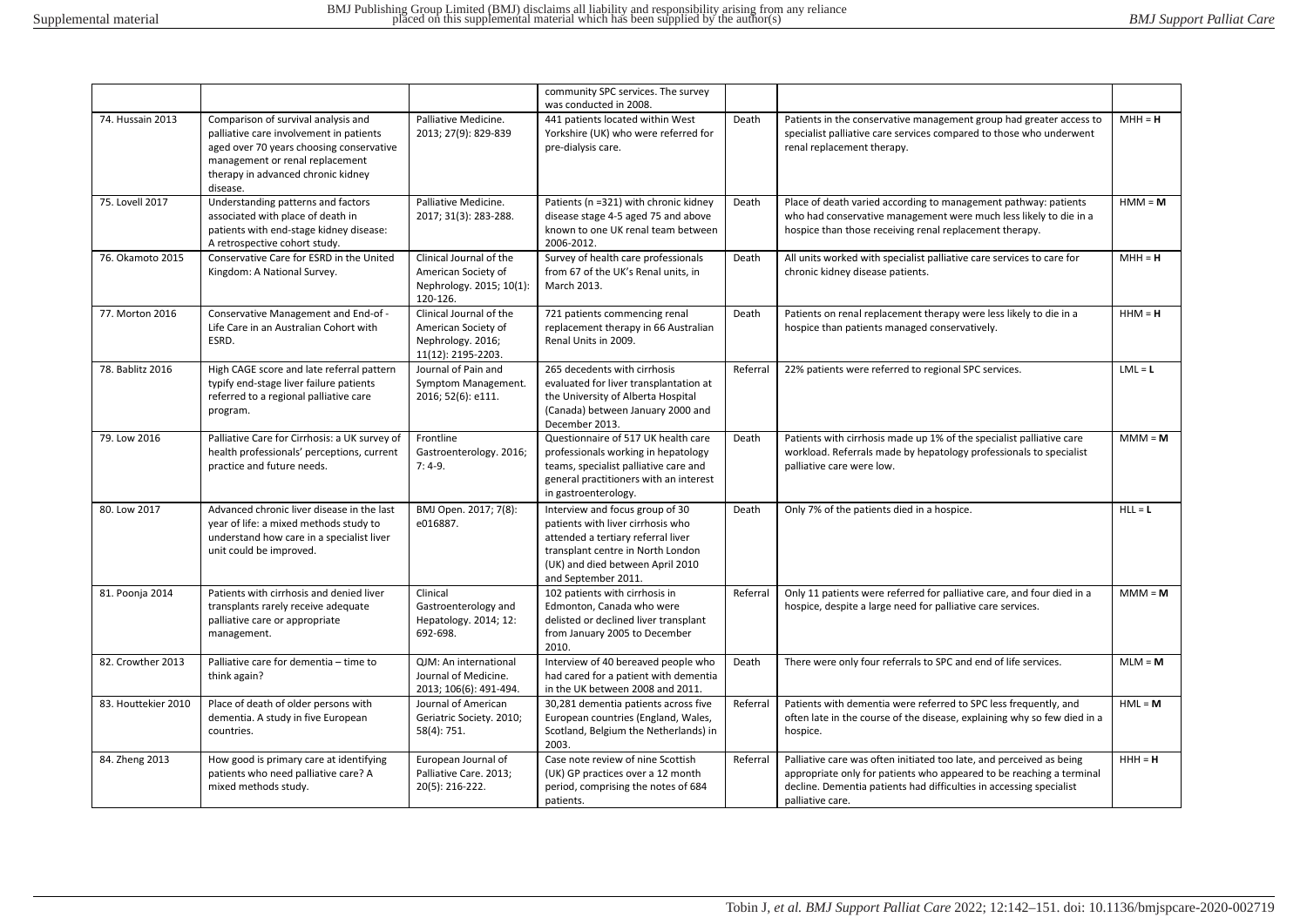|                     |                                                                                                                                                                                                                 |                                                                                           | community SPC services. The survey                                                                                                                                                                         |          |                                                                                                                                                                                                                                         |           |
|---------------------|-----------------------------------------------------------------------------------------------------------------------------------------------------------------------------------------------------------------|-------------------------------------------------------------------------------------------|------------------------------------------------------------------------------------------------------------------------------------------------------------------------------------------------------------|----------|-----------------------------------------------------------------------------------------------------------------------------------------------------------------------------------------------------------------------------------------|-----------|
| 74. Hussain 2013    | Comparison of survival analysis and<br>palliative care involvement in patients<br>aged over 70 years choosing conservative<br>management or renal replacement<br>therapy in advanced chronic kidney<br>disease. | Palliative Medicine.<br>2013; 27(9): 829-839                                              | was conducted in 2008.<br>441 patients located within West<br>Yorkshire (UK) who were referred for<br>pre-dialysis care.                                                                                   | Death    | Patients in the conservative management group had greater access to<br>specialist palliative care services compared to those who underwent<br>renal replacement therapy.                                                                | $MH = H$  |
| 75. Lovell 2017     | Understanding patterns and factors<br>associated with place of death in<br>patients with end-stage kidney disease:<br>A retrospective cohort study.                                                             | Palliative Medicine.<br>2017; 31(3): 283-288.                                             | Patients (n =321) with chronic kidney<br>disease stage 4-5 aged 75 and above<br>known to one UK renal team between<br>2006-2012.                                                                           | Death    | Place of death varied according to management pathway: patients<br>who had conservative management were much less likely to die in a<br>hospice than those receiving renal replacement therapy.                                         | $HM = M$  |
| 76. Okamoto 2015    | Conservative Care for ESRD in the United<br>Kingdom: A National Survey.                                                                                                                                         | Clinical Journal of the<br>American Society of<br>Nephrology. 2015; 10(1):<br>120-126.    | Survey of health care professionals<br>from 67 of the UK's Renal units, in<br>March 2013.                                                                                                                  | Death    | All units worked with specialist palliative care services to care for<br>chronic kidney disease patients.                                                                                                                               | $MH = H$  |
| 77. Morton 2016     | Conservative Management and End-of -<br>Life Care in an Australian Cohort with<br>ESRD.                                                                                                                         | Clinical Journal of the<br>American Society of<br>Nephrology. 2016;<br>11(12): 2195-2203. | 721 patients commencing renal<br>replacement therapy in 66 Australian<br>Renal Units in 2009.                                                                                                              | Death    | Patients on renal replacement therapy were less likely to die in a<br>hospice than patients managed conservatively.                                                                                                                     | $HHM = H$ |
| 78. Bablitz 2016    | High CAGE score and late referral pattern<br>typify end-stage liver failure patients<br>referred to a regional palliative care<br>program.                                                                      | Journal of Pain and<br>Symptom Management.<br>2016; 52(6): e111.                          | 265 decedents with cirrhosis<br>evaluated for liver transplantation at<br>the University of Alberta Hospital<br>(Canada) between January 2000 and<br>December 2013.                                        | Referral | 22% patients were referred to regional SPC services.                                                                                                                                                                                    | $LML = L$ |
| 79. Low 2016        | Palliative Care for Cirrhosis: a UK survey of<br>health professionals' perceptions, current<br>practice and future needs.                                                                                       | Frontline<br>Gastroenterology. 2016;<br>$7:4-9.$                                          | Questionnaire of 517 UK health care<br>professionals working in hepatology<br>teams, specialist palliative care and<br>general practitioners with an interest<br>in gastroenterology.                      | Death    | Patients with cirrhosis made up 1% of the specialist palliative care<br>workload. Referrals made by hepatology professionals to specialist<br>palliative care were low.                                                                 | $MM = M$  |
| 80. Low 2017        | Advanced chronic liver disease in the last<br>year of life: a mixed methods study to<br>understand how care in a specialist liver<br>unit could be improved.                                                    | BMJ Open. 2017; 7(8):<br>e016887.                                                         | Interview and focus group of 30<br>patients with liver cirrhosis who<br>attended a tertiary referral liver<br>transplant centre in North London<br>(UK) and died between April 2010<br>and September 2011. | Death    | Only 7% of the patients died in a hospice.                                                                                                                                                                                              | $HLL = L$ |
| 81. Poonja 2014     | Patients with cirrhosis and denied liver<br>transplants rarely receive adequate<br>palliative care or appropriate<br>management.                                                                                | Clinical<br>Gastroenterology and<br>Hepatology. 2014; 12:<br>692-698.                     | 102 patients with cirrhosis in<br>Edmonton, Canada who were<br>delisted or declined liver transplant<br>from January 2005 to December<br>2010.                                                             | Referral | Only 11 patients were referred for palliative care, and four died in a<br>hospice, despite a large need for palliative care services.                                                                                                   | $MM = M$  |
| 82. Crowther 2013   | Palliative care for dementia - time to<br>think again?                                                                                                                                                          | QJM: An international<br>Journal of Medicine.<br>2013; 106(6): 491-494.                   | Interview of 40 bereaved people who<br>had cared for a patient with dementia<br>in the UK between 2008 and 2011.                                                                                           | Death    | There were only four referrals to SPC and end of life services.                                                                                                                                                                         | $MLM = M$ |
| 83. Houttekier 2010 | Place of death of older persons with<br>dementia. A study in five European<br>countries.                                                                                                                        | Journal of American<br>Geriatric Society. 2010;<br>58(4): 751.                            | 30,281 dementia patients across five<br>European countries (England, Wales,<br>Scotland, Belgium the Netherlands) in<br>2003.                                                                              | Referral | Patients with dementia were referred to SPC less frequently, and<br>often late in the course of the disease, explaining why so few died in a<br>hospice.                                                                                | $HML = M$ |
| 84. Zheng 2013      | How good is primary care at identifying<br>patients who need palliative care? A<br>mixed methods study.                                                                                                         | European Journal of<br>Palliative Care. 2013;<br>20(5): 216-222.                          | Case note review of nine Scottish<br>(UK) GP practices over a 12 month<br>period, comprising the notes of 684<br>patients.                                                                                 | Referral | Palliative care was often initiated too late, and perceived as being<br>appropriate only for patients who appeared to be reaching a terminal<br>decline. Dementia patients had difficulties in accessing specialist<br>palliative care. | $HHH = H$ |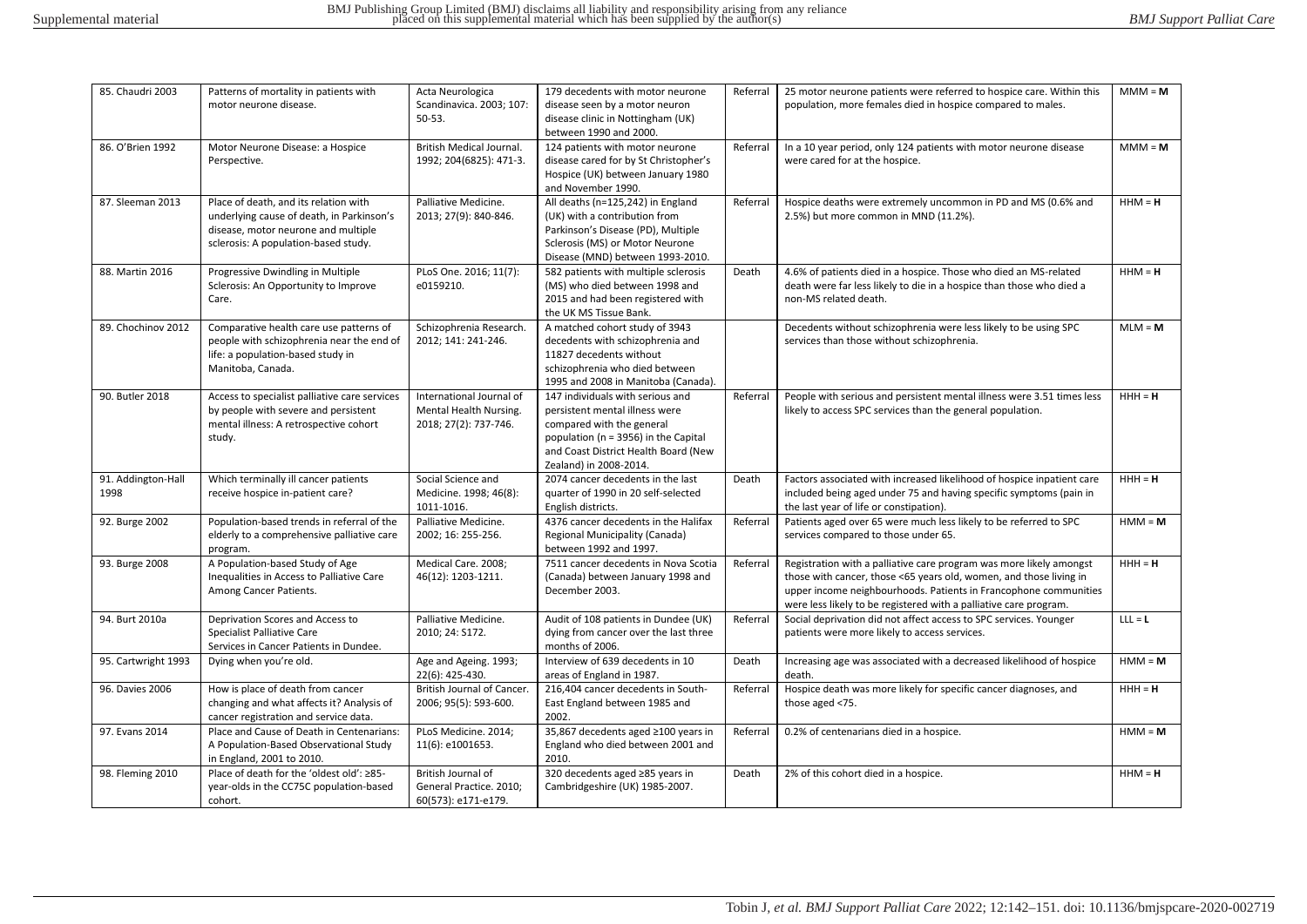| 85. Chaudri 2003           | Patterns of mortality in patients with<br>motor neurone disease.                                                                                                  | Acta Neurologica<br>Scandinavica. 2003; 107:                                | 179 decedents with motor neurone<br>disease seen by a motor neuron                                                                                                                                        | Referral | 25 motor neurone patients were referred to hospice care. Within this<br>population, more females died in hospice compared to males.                                                                                                                                                | $MM = M$  |
|----------------------------|-------------------------------------------------------------------------------------------------------------------------------------------------------------------|-----------------------------------------------------------------------------|-----------------------------------------------------------------------------------------------------------------------------------------------------------------------------------------------------------|----------|------------------------------------------------------------------------------------------------------------------------------------------------------------------------------------------------------------------------------------------------------------------------------------|-----------|
|                            |                                                                                                                                                                   | $50 - 53.$                                                                  | disease clinic in Nottingham (UK)<br>between 1990 and 2000.                                                                                                                                               |          |                                                                                                                                                                                                                                                                                    |           |
| 86. O'Brien 1992           | Motor Neurone Disease: a Hospice<br>Perspective.                                                                                                                  | British Medical Journal.<br>1992; 204(6825): 471-3.                         | 124 patients with motor neurone<br>disease cared for by St Christopher's<br>Hospice (UK) between January 1980<br>and November 1990.                                                                       | Referral | In a 10 year period, only 124 patients with motor neurone disease<br>were cared for at the hospice.                                                                                                                                                                                | $MMM = M$ |
| 87. Sleeman 2013           | Place of death, and its relation with<br>underlying cause of death, in Parkinson's<br>disease, motor neurone and multiple<br>sclerosis: A population-based study. | Palliative Medicine.<br>2013; 27(9): 840-846.                               | All deaths (n=125,242) in England<br>(UK) with a contribution from<br>Parkinson's Disease (PD), Multiple<br>Sclerosis (MS) or Motor Neurone<br>Disease (MND) between 1993-2010.                           | Referral | Hospice deaths were extremely uncommon in PD and MS (0.6% and<br>2.5%) but more common in MND (11.2%).                                                                                                                                                                             | $HHM = H$ |
| 88. Martin 2016            | Progressive Dwindling in Multiple<br>Sclerosis: An Opportunity to Improve<br>Care.                                                                                | PLoS One. 2016; 11(7):<br>e0159210.                                         | 582 patients with multiple sclerosis<br>(MS) who died between 1998 and<br>2015 and had been registered with<br>the UK MS Tissue Bank.                                                                     | Death    | 4.6% of patients died in a hospice. Those who died an MS-related<br>death were far less likely to die in a hospice than those who died a<br>non-MS related death.                                                                                                                  | $HHM = H$ |
| 89. Chochinov 2012         | Comparative health care use patterns of<br>people with schizophrenia near the end of<br>life: a population-based study in<br>Manitoba, Canada.                    | Schizophrenia Research.<br>2012; 141: 241-246.                              | A matched cohort study of 3943<br>decedents with schizophrenia and<br>11827 decedents without<br>schizophrenia who died between<br>1995 and 2008 in Manitoba (Canada).                                    |          | Decedents without schizophrenia were less likely to be using SPC<br>services than those without schizophrenia.                                                                                                                                                                     | $MLM = M$ |
| 90. Butler 2018            | Access to specialist palliative care services<br>by people with severe and persistent<br>mental illness: A retrospective cohort<br>study.                         | International Journal of<br>Mental Health Nursing.<br>2018; 27(2): 737-746. | 147 individuals with serious and<br>persistent mental illness were<br>compared with the general<br>population (n = 3956) in the Capital<br>and Coast District Health Board (New<br>Zealand) in 2008-2014. | Referral | People with serious and persistent mental illness were 3.51 times less<br>likely to access SPC services than the general population.                                                                                                                                               | $HHH = H$ |
| 91. Addington-Hall<br>1998 | Which terminally ill cancer patients<br>receive hospice in-patient care?                                                                                          | Social Science and<br>Medicine. 1998; 46(8):<br>1011-1016.                  | 2074 cancer decedents in the last<br>quarter of 1990 in 20 self-selected<br>English districts.                                                                                                            | Death    | Factors associated with increased likelihood of hospice inpatient care<br>included being aged under 75 and having specific symptoms (pain in<br>the last year of life or constipation).                                                                                            | $HHH = H$ |
| 92. Burge 2002             | Population-based trends in referral of the<br>elderly to a comprehensive palliative care<br>program.                                                              | Palliative Medicine.<br>2002; 16: 255-256.                                  | 4376 cancer decedents in the Halifax<br>Regional Municipality (Canada)<br>between 1992 and 1997.                                                                                                          | Referral | Patients aged over 65 were much less likely to be referred to SPC<br>services compared to those under 65.                                                                                                                                                                          | $HMM = M$ |
| 93. Burge 2008             | A Population-based Study of Age<br>Inequalities in Access to Palliative Care<br>Among Cancer Patients.                                                            | Medical Care. 2008;<br>46(12): 1203-1211.                                   | 7511 cancer decedents in Nova Scotia<br>(Canada) between January 1998 and<br>December 2003.                                                                                                               | Referral | Registration with a palliative care program was more likely amongst<br>those with cancer, those <65 years old, women, and those living in<br>upper income neighbourhoods. Patients in Francophone communities<br>were less likely to be registered with a palliative care program. | $HHH = H$ |
| 94. Burt 2010a             | Deprivation Scores and Access to<br><b>Specialist Palliative Care</b><br>Services in Cancer Patients in Dundee.                                                   | Palliative Medicine.<br>2010; 24: S172.                                     | Audit of 108 patients in Dundee (UK)<br>dying from cancer over the last three<br>months of 2006.                                                                                                          | Referral | Social deprivation did not affect access to SPC services. Younger<br>patients were more likely to access services.                                                                                                                                                                 | $LLL = L$ |
| 95. Cartwright 1993        | Dying when you're old.                                                                                                                                            | Age and Ageing. 1993;<br>22(6): 425-430.                                    | Interview of 639 decedents in 10<br>areas of England in 1987.                                                                                                                                             | Death    | Increasing age was associated with a decreased likelihood of hospice<br>death.                                                                                                                                                                                                     | $HMM = M$ |
| 96. Davies 2006            | How is place of death from cancer<br>changing and what affects it? Analysis of<br>cancer registration and service data.                                           | British Journal of Cancer.<br>2006; 95(5): 593-600.                         | 216,404 cancer decedents in South-<br>East England between 1985 and<br>2002.                                                                                                                              | Referral | Hospice death was more likely for specific cancer diagnoses, and<br>those aged <75.                                                                                                                                                                                                | $HHH = H$ |
| 97. Evans 2014             | Place and Cause of Death in Centenarians:<br>A Population-Based Observational Study<br>in England, 2001 to 2010.                                                  | PLoS Medicine. 2014;<br>11(6): e1001653.                                    | 35,867 decedents aged ≥100 years in<br>England who died between 2001 and<br>2010.                                                                                                                         | Referral | 0.2% of centenarians died in a hospice.                                                                                                                                                                                                                                            | $HMM = M$ |
| 98. Fleming 2010           | Place of death for the 'oldest old': ≥85-<br>year-olds in the CC75C population-based<br>cohort.                                                                   | British Journal of<br>General Practice. 2010;<br>60(573): e171-e179.        | 320 decedents aged ≥85 years in<br>Cambridgeshire (UK) 1985-2007.                                                                                                                                         | Death    | 2% of this cohort died in a hospice.                                                                                                                                                                                                                                               | $HHM = H$ |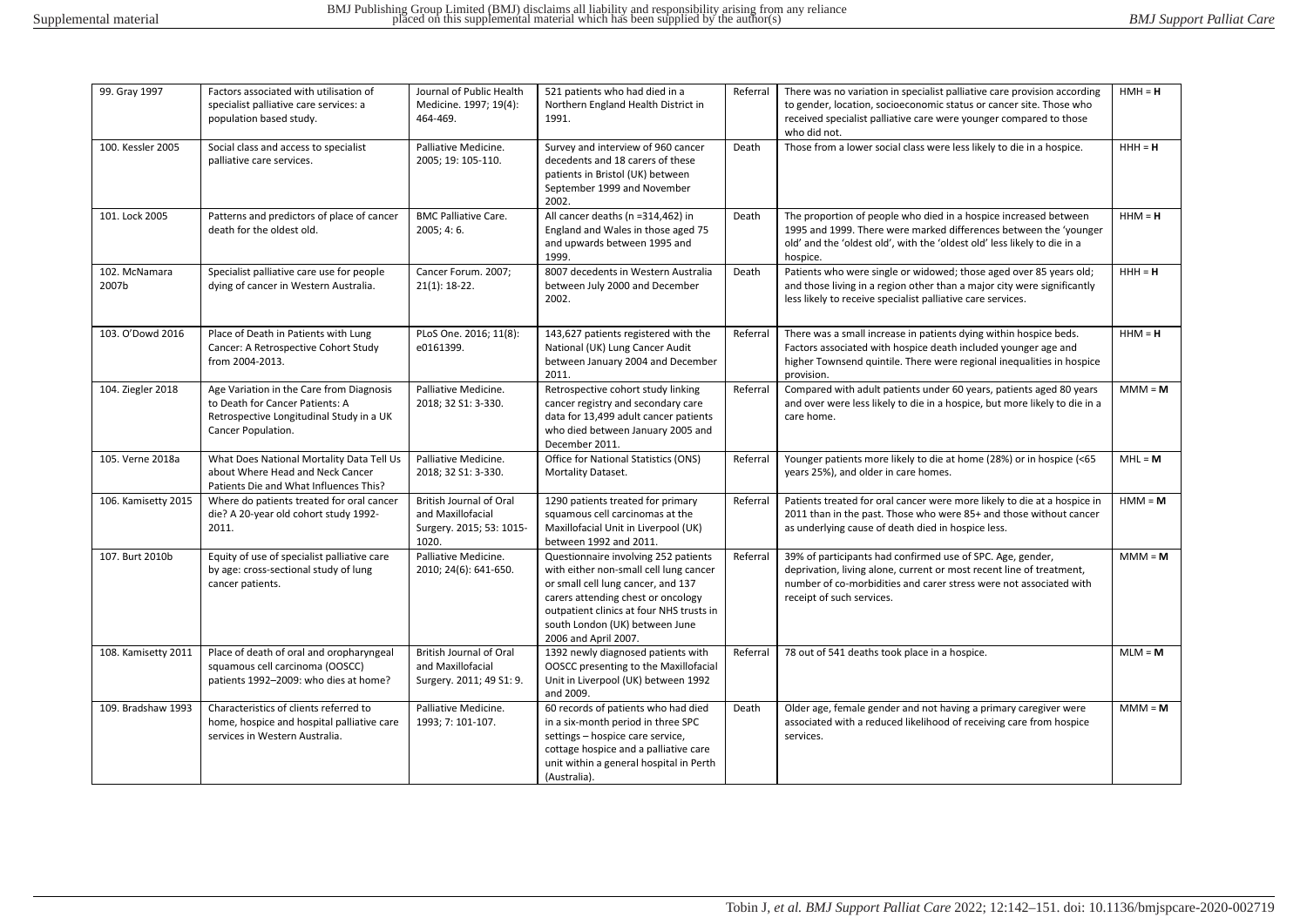| 99. Gray 1997          | Factors associated with utilisation of                                                                                                        | Journal of Public Health                                                                 | 521 patients who had died in a                                                                                                                                                                                                                                   | Referral | There was no variation in specialist palliative care provision according                                                                                                                                                              | $HMH = H$ |
|------------------------|-----------------------------------------------------------------------------------------------------------------------------------------------|------------------------------------------------------------------------------------------|------------------------------------------------------------------------------------------------------------------------------------------------------------------------------------------------------------------------------------------------------------------|----------|---------------------------------------------------------------------------------------------------------------------------------------------------------------------------------------------------------------------------------------|-----------|
|                        | specialist palliative care services: a<br>population based study.                                                                             | Medicine. 1997; 19(4):<br>464-469.                                                       | Northern England Health District in<br>1991.                                                                                                                                                                                                                     |          | to gender, location, socioeconomic status or cancer site. Those who<br>received specialist palliative care were younger compared to those<br>who did not.                                                                             |           |
| 100. Kessler 2005      | Social class and access to specialist<br>palliative care services.                                                                            | Palliative Medicine.<br>2005; 19: 105-110.                                               | Survey and interview of 960 cancer<br>decedents and 18 carers of these<br>patients in Bristol (UK) between<br>September 1999 and November<br>2002.                                                                                                               | Death    | Those from a lower social class were less likely to die in a hospice.                                                                                                                                                                 | $HHH = H$ |
| 101. Lock 2005         | Patterns and predictors of place of cancer<br>death for the oldest old.                                                                       | <b>BMC Palliative Care.</b><br>2005; 4: 6.                                               | All cancer deaths (n =314,462) in<br>England and Wales in those aged 75<br>and upwards between 1995 and<br>1999.                                                                                                                                                 | Death    | The proportion of people who died in a hospice increased between<br>1995 and 1999. There were marked differences between the 'younger<br>old' and the 'oldest old', with the 'oldest old' less likely to die in a<br>hospice.         | $HHM = H$ |
| 102. McNamara<br>2007b | Specialist palliative care use for people<br>dying of cancer in Western Australia.                                                            | Cancer Forum. 2007;<br>$21(1): 18-22.$                                                   | 8007 decedents in Western Australia<br>between July 2000 and December<br>2002.                                                                                                                                                                                   | Death    | Patients who were single or widowed; those aged over 85 years old;<br>and those living in a region other than a major city were significantly<br>less likely to receive specialist palliative care services.                          | $HHH = H$ |
| 103. O'Dowd 2016       | Place of Death in Patients with Lung<br>Cancer: A Retrospective Cohort Study<br>from 2004-2013.                                               | PLoS One. 2016; 11(8):<br>e0161399.                                                      | 143,627 patients registered with the<br>National (UK) Lung Cancer Audit<br>between January 2004 and December<br>2011.                                                                                                                                            | Referral | There was a small increase in patients dying within hospice beds.<br>Factors associated with hospice death included younger age and<br>higher Townsend quintile. There were regional inequalities in hospice<br>provision.            | $HHM = H$ |
| 104. Ziegler 2018      | Age Variation in the Care from Diagnosis<br>to Death for Cancer Patients: A<br>Retrospective Longitudinal Study in a UK<br>Cancer Population. | Palliative Medicine.<br>2018; 32 S1: 3-330.                                              | Retrospective cohort study linking<br>cancer registry and secondary care<br>data for 13,499 adult cancer patients<br>who died between January 2005 and<br>December 2011.                                                                                         | Referral | Compared with adult patients under 60 years, patients aged 80 years<br>and over were less likely to die in a hospice, but more likely to die in a<br>care home.                                                                       | $MM = M$  |
| 105. Verne 2018a       | What Does National Mortality Data Tell Us<br>about Where Head and Neck Cancer<br>Patients Die and What Influences This?                       | Palliative Medicine.<br>2018; 32 S1: 3-330.                                              | Office for National Statistics (ONS)<br>Mortality Dataset.                                                                                                                                                                                                       | Referral | Younger patients more likely to die at home (28%) or in hospice (<65<br>years 25%), and older in care homes.                                                                                                                          | $MHL = M$ |
| 106. Kamisetty 2015    | Where do patients treated for oral cancer<br>die? A 20-year old cohort study 1992-<br>2011.                                                   | <b>British Journal of Oral</b><br>and Maxillofacial<br>Surgery. 2015; 53: 1015-<br>1020. | 1290 patients treated for primary<br>squamous cell carcinomas at the<br>Maxillofacial Unit in Liverpool (UK)<br>between 1992 and 2011.                                                                                                                           | Referral | Patients treated for oral cancer were more likely to die at a hospice in<br>2011 than in the past. Those who were 85+ and those without cancer<br>as underlying cause of death died in hospice less.                                  | $HMM = M$ |
| 107. Burt 2010b        | Equity of use of specialist palliative care<br>by age: cross-sectional study of lung<br>cancer patients.                                      | Palliative Medicine.<br>2010; 24(6): 641-650.                                            | Questionnaire involving 252 patients<br>with either non-small cell lung cancer<br>or small cell lung cancer, and 137<br>carers attending chest or oncology<br>outpatient clinics at four NHS trusts in<br>south London (UK) between June<br>2006 and April 2007. | Referral | 39% of participants had confirmed use of SPC. Age, gender,<br>deprivation, living alone, current or most recent line of treatment,<br>number of co-morbidities and carer stress were not associated with<br>receipt of such services. | $MM = M$  |
| 108. Kamisetty 2011    | Place of death of oral and oropharyngeal<br>squamous cell carcinoma (OOSCC)<br>patients 1992-2009: who dies at home?                          | <b>British Journal of Oral</b><br>and Maxillofacial<br>Surgery. 2011; 49 S1: 9.          | 1392 newly diagnosed patients with<br>OOSCC presenting to the Maxillofacial<br>Unit in Liverpool (UK) between 1992<br>and 2009.                                                                                                                                  | Referral | 78 out of 541 deaths took place in a hospice.                                                                                                                                                                                         | $MLM = M$ |
| 109. Bradshaw 1993     | Characteristics of clients referred to<br>home, hospice and hospital palliative care<br>services in Western Australia.                        | Palliative Medicine.<br>1993; 7: 101-107.                                                | 60 records of patients who had died<br>in a six-month period in three SPC<br>settings - hospice care service,<br>cottage hospice and a palliative care<br>unit within a general hospital in Perth<br>(Australia).                                                | Death    | Older age, female gender and not having a primary caregiver were<br>associated with a reduced likelihood of receiving care from hospice<br>services.                                                                                  | $MM = M$  |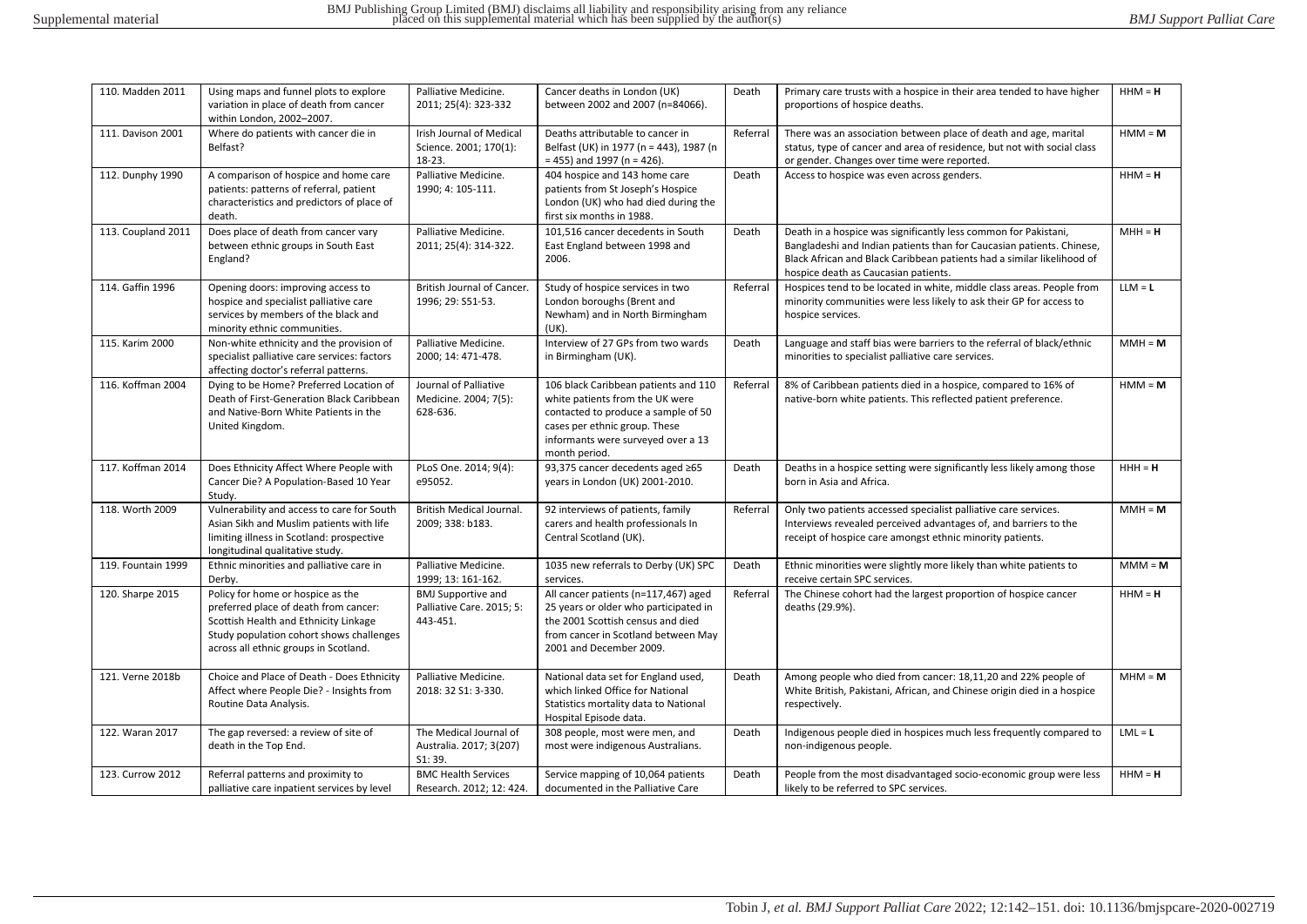| 110. Madden 2011   | Using maps and funnel plots to explore<br>variation in place of death from cancer<br>within London, 2002-2007.                                                                                           | Palliative Medicine.<br>2011; 25(4): 323-332                          | Cancer deaths in London (UK)<br>between 2002 and 2007 (n=84066).                                                                                                                                       | Death    | Primary care trusts with a hospice in their area tended to have higher<br>proportions of hospice deaths.                                                                                                                                                   | $HHM = H$ |
|--------------------|----------------------------------------------------------------------------------------------------------------------------------------------------------------------------------------------------------|-----------------------------------------------------------------------|--------------------------------------------------------------------------------------------------------------------------------------------------------------------------------------------------------|----------|------------------------------------------------------------------------------------------------------------------------------------------------------------------------------------------------------------------------------------------------------------|-----------|
| 111. Davison 2001  | Where do patients with cancer die in<br>Belfast?                                                                                                                                                         | <b>Irish Journal of Medical</b><br>Science. 2001; 170(1):<br>$18-23.$ | Deaths attributable to cancer in<br>Belfast (UK) in 1977 (n = 443), 1987 (n<br>$= 455$ ) and 1997 (n = 426).                                                                                           | Referral | There was an association between place of death and age, marital<br>status, type of cancer and area of residence, but not with social class<br>or gender. Changes over time were reported.                                                                 | $HMM = M$ |
| 112. Dunphy 1990   | A comparison of hospice and home care<br>patients: patterns of referral, patient<br>characteristics and predictors of place of<br>death.                                                                 | Palliative Medicine.<br>1990; 4: 105-111.                             | 404 hospice and 143 home care<br>patients from St Joseph's Hospice<br>London (UK) who had died during the<br>first six months in 1988.                                                                 | Death    | Access to hospice was even across genders.                                                                                                                                                                                                                 | $HHM = H$ |
| 113. Coupland 2011 | Does place of death from cancer vary<br>between ethnic groups in South East<br>England?                                                                                                                  | Palliative Medicine.<br>2011; 25(4): 314-322.                         | 101,516 cancer decedents in South<br>East England between 1998 and<br>2006.                                                                                                                            | Death    | Death in a hospice was significantly less common for Pakistani,<br>Bangladeshi and Indian patients than for Caucasian patients. Chinese,<br>Black African and Black Caribbean patients had a similar likelihood of<br>hospice death as Caucasian patients. | $MH = H$  |
| 114. Gaffin 1996   | Opening doors: improving access to<br>hospice and specialist palliative care<br>services by members of the black and<br>minority ethnic communities.                                                     | British Journal of Cancer.<br>1996; 29: S51-53.                       | Study of hospice services in two<br>London boroughs (Brent and<br>Newham) and in North Birmingham<br>(UK).                                                                                             | Referral | Hospices tend to be located in white, middle class areas. People from<br>minority communities were less likely to ask their GP for access to<br>hospice services.                                                                                          | $LLM = L$ |
| 115. Karim 2000    | Non-white ethnicity and the provision of<br>specialist palliative care services: factors<br>affecting doctor's referral patterns.                                                                        | Palliative Medicine.<br>2000; 14: 471-478.                            | Interview of 27 GPs from two wards<br>in Birmingham (UK).                                                                                                                                              | Death    | Language and staff bias were barriers to the referral of black/ethnic<br>minorities to specialist palliative care services.                                                                                                                                | $MMH = M$ |
| 116. Koffman 2004  | Dying to be Home? Preferred Location of<br>Death of First-Generation Black Caribbean<br>and Native-Born White Patients in the<br>United Kingdom.                                                         | Journal of Palliative<br>Medicine. 2004; 7(5):<br>628-636.            | 106 black Caribbean patients and 110<br>white patients from the UK were<br>contacted to produce a sample of 50<br>cases per ethnic group. These<br>informants were surveyed over a 13<br>month period. | Referral | 8% of Caribbean patients died in a hospice, compared to 16% of<br>native-born white patients. This reflected patient preference.                                                                                                                           | $HMM = M$ |
| 117. Koffman 2014  | Does Ethnicity Affect Where People with<br>Cancer Die? A Population-Based 10 Year<br>Study.                                                                                                              | PLoS One. 2014; 9(4):<br>e95052.                                      | 93,375 cancer decedents aged ≥65<br>years in London (UK) 2001-2010.                                                                                                                                    | Death    | Deaths in a hospice setting were significantly less likely among those<br>born in Asia and Africa.                                                                                                                                                         | $HHH = H$ |
| 118. Worth 2009    | Vulnerability and access to care for South<br>Asian Sikh and Muslim patients with life<br>limiting illness in Scotland: prospective<br>longitudinal qualitative study.                                   | <b>British Medical Journal.</b><br>2009; 338: b183.                   | 92 interviews of patients, family<br>carers and health professionals In<br>Central Scotland (UK).                                                                                                      | Referral | Only two patients accessed specialist palliative care services.<br>Interviews revealed perceived advantages of, and barriers to the<br>receipt of hospice care amongst ethnic minority patients.                                                           | $MM = M$  |
| 119. Fountain 1999 | Ethnic minorities and palliative care in<br>Derby.                                                                                                                                                       | Palliative Medicine.<br>1999; 13: 161-162.                            | 1035 new referrals to Derby (UK) SPC<br>services.                                                                                                                                                      | Death    | Ethnic minorities were slightly more likely than white patients to<br>receive certain SPC services.                                                                                                                                                        | $MM = M$  |
| 120. Sharpe 2015   | Policy for home or hospice as the<br>preferred place of death from cancer:<br>Scottish Health and Ethnicity Linkage<br>Study population cohort shows challenges<br>across all ethnic groups in Scotland. | <b>BMJ Supportive and</b><br>Palliative Care. 2015; 5:<br>443-451.    | All cancer patients (n=117,467) aged<br>25 years or older who participated in<br>the 2001 Scottish census and died<br>from cancer in Scotland between May<br>2001 and December 2009.                   | Referral | The Chinese cohort had the largest proportion of hospice cancer<br>deaths (29.9%).                                                                                                                                                                         | $HHM = H$ |
| 121. Verne 2018b   | Choice and Place of Death - Does Ethnicity<br>Affect where People Die? - Insights from<br>Routine Data Analysis.                                                                                         | Palliative Medicine.<br>2018: 32 S1: 3-330.                           | National data set for England used,<br>which linked Office for National<br>Statistics mortality data to National<br>Hospital Episode data.                                                             | Death    | Among people who died from cancer: 18,11,20 and 22% people of<br>White British, Pakistani, African, and Chinese origin died in a hospice<br>respectively.                                                                                                  | $MHM = M$ |
| 122. Waran 2017    | The gap reversed: a review of site of<br>death in the Top End.                                                                                                                                           | The Medical Journal of<br>Australia. 2017; 3(207)<br>S1:39.           | 308 people, most were men, and<br>most were indigenous Australians.                                                                                                                                    | Death    | Indigenous people died in hospices much less frequently compared to<br>non-indigenous people.                                                                                                                                                              | $LML = L$ |
| 123. Currow 2012   | Referral patterns and proximity to<br>palliative care inpatient services by level                                                                                                                        | <b>BMC Health Services</b><br>Research. 2012; 12: 424.                | Service mapping of 10,064 patients<br>documented in the Palliative Care                                                                                                                                | Death    | People from the most disadvantaged socio-economic group were less<br>likely to be referred to SPC services.                                                                                                                                                | $HHM = H$ |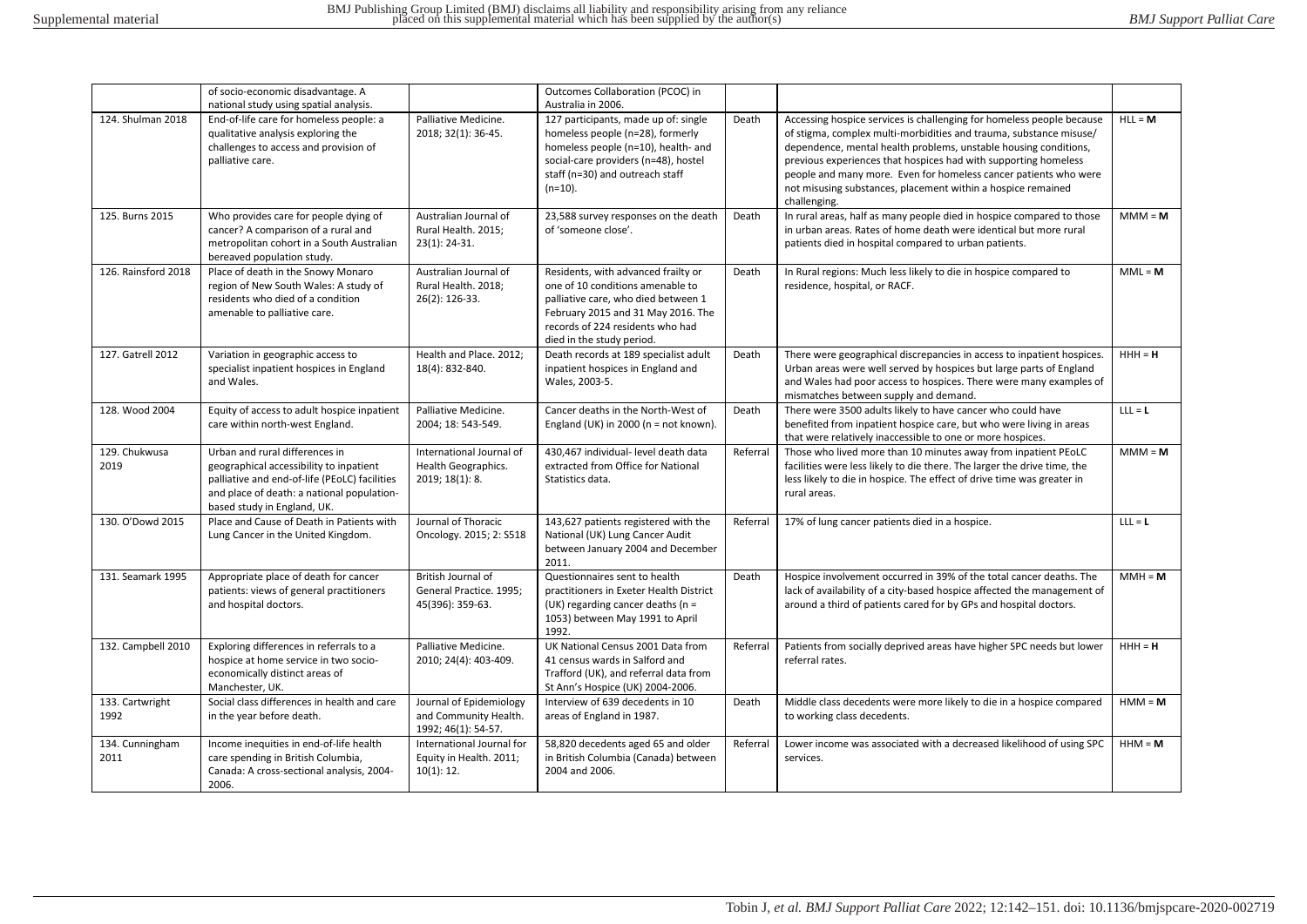|                         | of socio-economic disadvantage. A                                                                                                                                                                       |                                                                         | Outcomes Collaboration (PCOC) in                                                                                                                                                                                               |          |                                                                                                                                                                                                                                                                                                                                                                                                                                        |           |
|-------------------------|---------------------------------------------------------------------------------------------------------------------------------------------------------------------------------------------------------|-------------------------------------------------------------------------|--------------------------------------------------------------------------------------------------------------------------------------------------------------------------------------------------------------------------------|----------|----------------------------------------------------------------------------------------------------------------------------------------------------------------------------------------------------------------------------------------------------------------------------------------------------------------------------------------------------------------------------------------------------------------------------------------|-----------|
| 124. Shulman 2018       | national study using spatial analysis.<br>End-of-life care for homeless people: a<br>qualitative analysis exploring the<br>challenges to access and provision of<br>palliative care.                    | Palliative Medicine.<br>2018; 32(1): 36-45.                             | Australia in 2006.<br>127 participants, made up of: single<br>homeless people (n=28), formerly<br>homeless people (n=10), health- and<br>social-care providers (n=48), hostel<br>staff (n=30) and outreach staff<br>$(n=10)$ . | Death    | Accessing hospice services is challenging for homeless people because<br>of stigma, complex multi-morbidities and trauma, substance misuse/<br>dependence, mental health problems, unstable housing conditions,<br>previous experiences that hospices had with supporting homeless<br>people and many more. Even for homeless cancer patients who were<br>not misusing substances, placement within a hospice remained<br>challenging. | $HLL = M$ |
| 125. Burns 2015         | Who provides care for people dying of<br>cancer? A comparison of a rural and<br>metropolitan cohort in a South Australian<br>bereaved population study.                                                 | Australian Journal of<br>Rural Health. 2015;<br>$23(1): 24-31.$         | 23,588 survey responses on the death<br>of 'someone close'.                                                                                                                                                                    | Death    | In rural areas, half as many people died in hospice compared to those<br>in urban areas. Rates of home death were identical but more rural<br>patients died in hospital compared to urban patients.                                                                                                                                                                                                                                    | $MM = M$  |
| 126. Rainsford 2018     | Place of death in the Snowy Monaro<br>region of New South Wales: A study of<br>residents who died of a condition<br>amenable to palliative care.                                                        | Australian Journal of<br>Rural Health. 2018;<br>26(2): 126-33.          | Residents, with advanced frailty or<br>one of 10 conditions amenable to<br>palliative care, who died between 1<br>February 2015 and 31 May 2016. The<br>records of 224 residents who had<br>died in the study period.          | Death    | In Rural regions: Much less likely to die in hospice compared to<br>residence, hospital, or RACF.                                                                                                                                                                                                                                                                                                                                      | $MML = M$ |
| 127. Gatrell 2012       | Variation in geographic access to<br>specialist inpatient hospices in England<br>and Wales.                                                                                                             | Health and Place. 2012:<br>18(4): 832-840.                              | Death records at 189 specialist adult<br>inpatient hospices in England and<br>Wales, 2003-5.                                                                                                                                   | Death    | There were geographical discrepancies in access to inpatient hospices.<br>Urban areas were well served by hospices but large parts of England<br>and Wales had poor access to hospices. There were many examples of<br>mismatches between supply and demand.                                                                                                                                                                           | $HHH = H$ |
| 128. Wood 2004          | Equity of access to adult hospice inpatient<br>care within north-west England.                                                                                                                          | Palliative Medicine.<br>2004; 18: 543-549.                              | Cancer deaths in the North-West of<br>England (UK) in 2000 ( $n = not known$ ).                                                                                                                                                | Death    | There were 3500 adults likely to have cancer who could have<br>benefited from inpatient hospice care, but who were living in areas<br>that were relatively inaccessible to one or more hospices.                                                                                                                                                                                                                                       | $LLL = L$ |
| 129. Chukwusa<br>2019   | Urban and rural differences in<br>geographical accessibility to inpatient<br>palliative and end-of-life (PEoLC) facilities<br>and place of death: a national population-<br>based study in England, UK. | International Journal of<br>Health Geographics.<br>2019; 18(1): 8.      | 430,467 individual- level death data<br>extracted from Office for National<br>Statistics data.                                                                                                                                 | Referral | Those who lived more than 10 minutes away from inpatient PEoLC<br>facilities were less likely to die there. The larger the drive time, the<br>less likely to die in hospice. The effect of drive time was greater in<br>rural areas.                                                                                                                                                                                                   | $MM = M$  |
| 130. O'Dowd 2015        | Place and Cause of Death in Patients with<br>Lung Cancer in the United Kingdom.                                                                                                                         | Journal of Thoracic<br>Oncology. 2015; 2: S518                          | 143,627 patients registered with the<br>National (UK) Lung Cancer Audit<br>between January 2004 and December<br>2011.                                                                                                          | Referral | 17% of lung cancer patients died in a hospice.                                                                                                                                                                                                                                                                                                                                                                                         | $LLL = L$ |
| 131. Seamark 1995       | Appropriate place of death for cancer<br>patients: views of general practitioners<br>and hospital doctors.                                                                                              | British Journal of<br>General Practice. 1995;<br>45(396): 359-63.       | Questionnaires sent to health<br>practitioners in Exeter Health District<br>(UK) regarding cancer deaths (n =<br>1053) between May 1991 to April<br>1992.                                                                      | Death    | Hospice involvement occurred in 39% of the total cancer deaths. The<br>lack of availability of a city-based hospice affected the management of<br>around a third of patients cared for by GPs and hospital doctors.                                                                                                                                                                                                                    | $MM = M$  |
| 132. Campbell 2010      | Exploring differences in referrals to a<br>hospice at home service in two socio-<br>economically distinct areas of<br>Manchester, UK.                                                                   | Palliative Medicine.<br>2010; 24(4): 403-409.                           | UK National Census 2001 Data from<br>41 census wards in Salford and<br>Trafford (UK), and referral data from<br>St Ann's Hospice (UK) 2004-2006.                                                                               | Referral | Patients from socially deprived areas have higher SPC needs but lower<br>referral rates.                                                                                                                                                                                                                                                                                                                                               | $HHH = H$ |
| 133. Cartwright<br>1992 | Social class differences in health and care<br>in the year before death.                                                                                                                                | Journal of Epidemiology<br>and Community Health.<br>1992; 46(1): 54-57. | Interview of 639 decedents in 10<br>areas of England in 1987.                                                                                                                                                                  | Death    | Middle class decedents were more likely to die in a hospice compared<br>to working class decedents.                                                                                                                                                                                                                                                                                                                                    | $HMM = M$ |
| 134. Cunningham<br>2011 | Income inequities in end-of-life health<br>care spending in British Columbia,<br>Canada: A cross-sectional analysis, 2004-<br>2006.                                                                     | International Journal for<br>Equity in Health. 2011;<br>10(1): 12.      | 58,820 decedents aged 65 and older<br>in British Columbia (Canada) between<br>2004 and 2006.                                                                                                                                   | Referral | Lower income was associated with a decreased likelihood of using SPC<br>services.                                                                                                                                                                                                                                                                                                                                                      | $HHM = M$ |